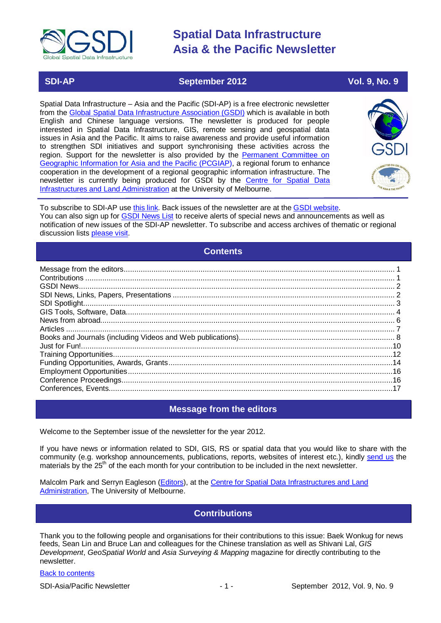

### **SDI-AP September 2012** Vol. 9, No. 9

Spatial Data Infrastructure – Asia and the Pacific (SDI-AP) is a free electronic newsletter from the [Global Spatial Data Infrastructure Association \(GSDI\)](http://www.gsdi.org/) which is available in both English and Chinese language versions. The newsletter is produced for people interested in Spatial Data Infrastructure, GIS, remote sensing and geospatial data issues in Asia and the Pacific. It aims to raise awareness and provide useful information to strengthen SDI initiatives and support synchronising these activities across the region. Support for the newsletter is also provided by the Permanent Committee on [Geographic Information for Asia](http://www.pcgiap.org/) and the Pacific (PCGIAP), a regional forum to enhance cooperation in the development of a regional geographic information infrastructure. The newsletter is currently being produced for GSDI by the Centre for [Spatial Data](http://www.csdila.unimelb.edu.au/)  [Infrastructures and Land Administration](http://www.csdila.unimelb.edu.au/) at the University of Melbourne.



To subscribe to SDI-AP use [this link.](http://www.gsdi.org/newslist/gsdisubscribe.asp) Back issues of the newsletter are at the [GSDI website.](http://www.gsdi.org/newsletters.asp) You can also sign up for [GSDI News List](http://www.gsdi.org/newslist/gsdisubscribe.asp) to receive alerts of special news and announcements as well as notification of new issues of the SDI-AP newsletter. To subscribe and access archives of thematic or regional discussion lists [please visit.](http://www.gsdi.org/discussionlists.asp)

### **Contents**

<span id="page-0-0"></span>

### **Message from the editors**

<span id="page-0-1"></span>Welcome to the September issue of the newsletter for the year 2012.

If you have news or information related to SDI, GIS, RS or spatial data that you would like to share with the community (e.g. workshop announcements, publications, reports, websites of interest etc.), kindly [send us](mailto:.SDI-AP@gsdi.org) the materials by the 25<sup>th</sup> of the each month for your contribution to be included in the next newsletter.

<span id="page-0-2"></span>Malcolm Park and Serryn Eagleson [\(Editors\)](mailto:Editor.SDIAP@gmail.com), at the [Centre for Spatial Data Infrastructures and Land](http://www.csdila.unimelb.edu.au/)  [Administration,](http://www.csdila.unimelb.edu.au/) The University of Melbourne.

### **Contributions**

Thank you to the following people and organisations for their contributions to this issue: Baek Wonkug for news feeds, Sean Lin and Bruce Lan and colleagues for the Chinese translation as well as Shivani Lal, *GIS Development*, *GeoSpatial World* and *Asia Surveying & Mapping* magazine for directly contributing to the newsletter.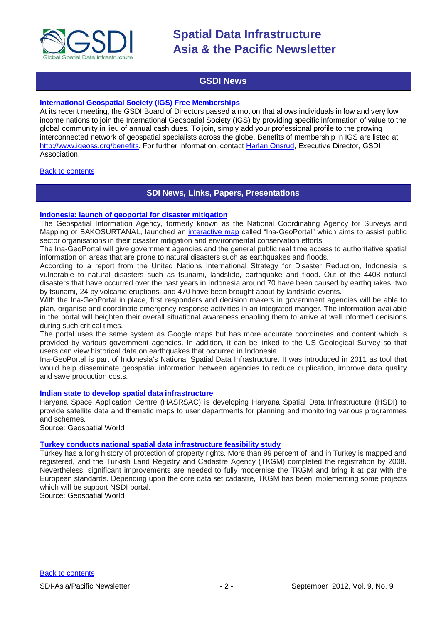

### **GSDI News**

#### <span id="page-1-0"></span>**International Geospatial Society (IGS) Free Memberships**

At its recent meeting, the GSDI Board of Directors passed a motion that allows individuals in low and very low income nations to join the International Geospatial Society (IGS) by providing specific information of value to the global community in lieu of annual cash dues. To join, simply add your professional profile to the growing interconnected network of geospatial specialists across the globe. Benefits of membership in IGS are listed at [http://www.igeoss.org/benefits.](https://owa.unimelb.edu.au/owa/redir.aspx?C=54c2b4d3973d480282dc7c38384f4204&URL=http%3a%2f%2fwww.igeoss.org%2fbenefits) For further information, contact [Harlan Onsrud,](mailto:onsrud@gsdi.org) Executive Director, GSDI Association.

### <span id="page-1-1"></span>**[Back to contents](#page-0-0)**

### **SDI News, Links, Papers, Presentations**

#### **[Indonesia: launch of geoportal for disaster mitigation](http://www.futuregov.asia/articles/2012/jul/31/indonesia-launches-geoportal-disaster-mitigation/)**

The Geospatial Information Agency, formerly known as the National Coordinating Agency for Surveys and Mapping or BAKOSURTANAL, launched an [interactive map](http://maps.ina-sdi.or.id/home/) called "Ina-GeoPortal" which aims to assist public sector organisations in their disaster mitigation and environmental conservation efforts.

The Ina-GeoPortal will give government agencies and the general public real time access to authoritative spatial information on areas that are prone to natural disasters such as earthquakes and floods.

According to a report from the United Nations International Strategy for Disaster Reduction, Indonesia is vulnerable to natural disasters such as tsunami, landslide, earthquake and flood. Out of the 4408 natural disasters that have occurred over the past years in Indonesia around 70 have been caused by earthquakes, two by tsunami, 24 by volcanic eruptions, and 470 have been brought about by landslide events.

With the Ina-GeoPortal in place, first responders and decision makers in government agencies will be able to plan, organise and coordinate emergency response activities in an integrated manger. The information available in the portal will heighten their overall situational awareness enabling them to arrive at well informed decisions during such critical times.

The portal uses the same system as Google maps but has more accurate coordinates and content which is provided by various government agencies. In addition, it can be linked to the US Geological Survey so that users can view historical data on earthquakes that occurred in Indonesia.

Ina-GeoPortal is part of Indonesia's National Spatial Data Infrastructure. It was introduced in 2011 as tool that would help disseminate geospatial information between agencies to reduce duplication, improve data quality and save production costs.

#### **[Indian state to develop spatial data infrastructure](http://www.geospatialworld.net/index.php?option=com_content&view=article&id=25548%3Aindian-state-to-develop-spatial-data-infrastructure&catid=49%3Aproduct-data&Itemid=1)**

Haryana Space Application Centre (HASRSAC) is developing Haryana Spatial Data Infrastructure (HSDI) to provide satellite data and thematic maps to user departments for planning and monitoring various programmes and schemes.

Source: Geospatial World

### **[Turkey conducts national spatial data infrastructure feasibility study](http://www.geospatialworld.net/index.php?option=com_content&view=article&id=25554:national-spatial-data-infrastructure-feasibility-study-in-turkey&catid=230&Itemid=41)**

Turkey has a long history of protection of property rights. More than 99 percent of land in Turkey is mapped and registered, and the Turkish Land Registry and Cadastre Agency (TKGM) completed the registration by 2008. Nevertheless, significant improvements are needed to fully modernise the TKGM and bring it at par with the European standards. Depending upon the core data set cadastre, TKGM has been implementing some projects which will be support NSDI portal.

Source: Geospatial World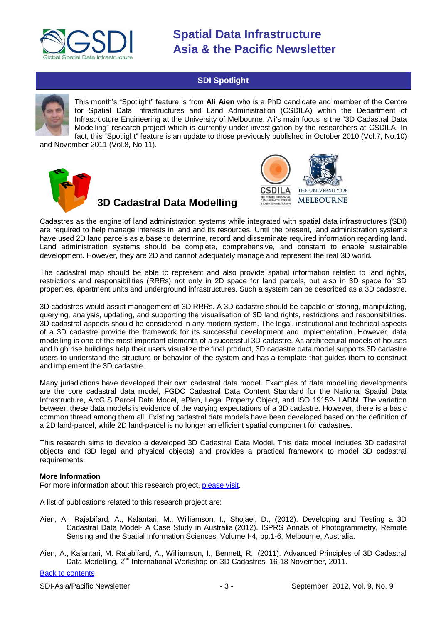

### **SDI Spotlight**

<span id="page-2-0"></span>

This month's "Spotlight" feature is from **Ali Aien** who is a PhD candidate and member of the Centre for Spatial Data Infrastructures and Land Administration (CSDILA) within the Department of Infrastructure Engineering at the University of Melbourne. Ali's main focus is the "3D Cadastral Data Modelling" research project which is currently under investigation by the researchers at CSDILA. In fact, this "Spotlight" feature is an update to those previously published in October 2010 (Vol.7, No.10)

and November 2011 (Vol.8, No.11).



## **3D Cadastral Data Modelling**



Cadastres as the engine of land administration systems while integrated with spatial data infrastructures (SDI) are required to help manage interests in land and its resources. Until the present, land administration systems have used 2D land parcels as a base to determine, record and disseminate required information regarding land. Land administration systems should be complete, comprehensive, and constant to enable sustainable development. However, they are 2D and cannot adequately manage and represent the real 3D world.

The cadastral map should be able to represent and also provide spatial information related to land rights, restrictions and responsibilities (RRRs) not only in 2D space for land parcels, but also in 3D space for 3D properties, apartment units and underground infrastructures. Such a system can be described as a 3D cadastre.

3D cadastres would assist management of 3D RRRs. A 3D cadastre should be capable of storing, manipulating, querying, analysis, updating, and supporting the visualisation of 3D land rights, restrictions and responsibilities. 3D cadastral aspects should be considered in any modern system. The legal, institutional and technical aspects of a 3D cadastre provide the framework for its successful development and implementation. However, data modelling is one of the most important elements of a successful 3D cadastre. As architectural models of houses and high rise buildings help their users visualize the final product, 3D cadastre data model supports 3D cadastre users to understand the structure or behavior of the system and has a template that guides them to construct and implement the 3D cadastre.

Many jurisdictions have developed their own cadastral data model. Examples of data modelling developments are the core cadastral data model, FGDC Cadastral Data Content Standard for the National Spatial Data Infrastructure, ArcGIS Parcel Data Model, ePlan, Legal Property Object, and ISO 19152- LADM. The variation between these data models is evidence of the varying expectations of a 3D cadastre. However, there is a basic common thread among them all. Existing cadastral data models have been developed based on the definition of a 2D land-parcel, while 2D land-parcel is no longer an efficient spatial component for cadastres.

This research aims to develop a developed 3D Cadastral Data Model. This data model includes 3D cadastral objects and (3D legal and physical objects) and provides a practical framework to model 3D cadastral requirements.

#### **More Information**

For more information about this research project, [please visit.](http://www.csdila.unimelb.edu.au/projects/3dwebsite/index.html)

A list of publications related to this research project are:

- Aien, A., Rajabifard, A., Kalantari, M., Williamson, I., Shojaei, D., (2012). [Developing and Testing a 3D](http://www.isprs-ann-photogramm-remote-sens-spatial-inf-sci.net/I-4/1/2012/isprsannals-I-4-1-2012.pdf)  Cadastral Data Model- [A Case Study in Australia](http://www.isprs-ann-photogramm-remote-sens-spatial-inf-sci.net/I-4/1/2012/isprsannals-I-4-1-2012.pdf) [\(2012\).](http://www.isprs-ann-photogramm-remote-sens-spatial-inf-sci.net/I-4/1/2012/isprsannals-I-4-1-2012.pdf) ISPRS Annals of Photogrammetry, Remote Sensing and the Spatial Information Sciences. Volume I-4, pp.1-6, Melbourne, Australia.
- Aien, A., Kalantari, M. Rajabifard, A., Williamson, I., Bennett, R., (2011). Advanced Principles of 3D Cadastral Data Modelling,  $2^{nd}$  International Workshop on 3D Cadastres, 16-18 November, 2011.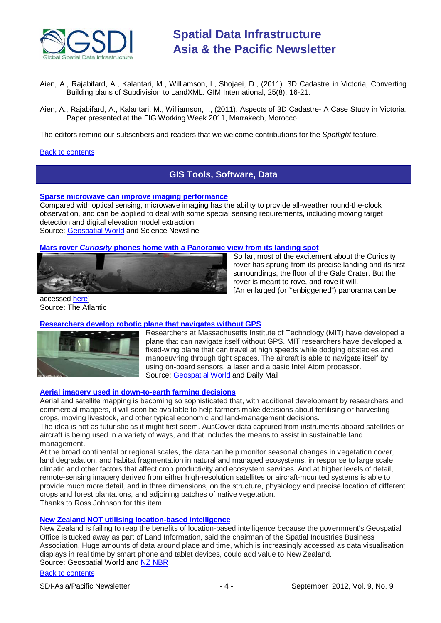

- Aien, A., Rajabifard, A., Kalantari, M., Williamson, I., Shojaei, D., (2011). 3D Cadastre in Victoria, Converting Building plans of Subdivision to LandXML. GIM International*,* 25(8), 16-21.
- Aien, A., Rajabifard, A., Kalantari, M., Williamson, I., (2011). Aspects of 3D Cadastre- A Case Study in Victoria*.* Paper presented at the FIG Working Week 2011, Marrakech, Morocco.

The editors remind our subscribers and readers that we welcome contributions for the *Spotlight* feature.

#### <span id="page-3-0"></span>[Back to contents](#page-0-0)

### **GIS Tools, Software, Data**

**[Sparse microwave can improve imaging performance](http://www.sciencenewsline.com/articles/2012081014510012.html)**

Compared with optical sensing, microwave imaging has the ability to provide all-weather round-the-clock observation, and can be applied to deal with some special sensing requirements, including moving target detection and digital elevation model extraction.

Source: [Geospatial World](http://www.geospatialworld.net/index.php?option=com_content&view=article&id=25486%3Asparse-microwave-can-improve-imaging-performance&catid=74%3Amiscellaneous-research&Itemid=1) and Science Newsline

#### **Mars rover** *Curiosity* **[phones home with a Panoramic view from its landing spot](http://www.theatlantic.com/technology/archive/2012/08/where-the-mars-curiosity-rover-is-headed-next/260941/)**



So far, most of the excitement about the Curiosity rover has sprung from its precise landing and its first surroundings, the floor of the Gale Crater. But the rover is meant to rove, and rove it will. [An enlarged (or "'enbiggened") panorama can be

accessed [here\]](http://cdn.theatlantic.com/static/mt/assets/science/curiositypano_big.jpg) Source: The Atlantic

#### **[Researchers develop robotic plane that navigates without GPS](http://www.dailymail.co.uk/sciencetech/article-2187426/MITs-robot-plane-fly-avoiding-obstacles.html)**



Researchers at Massachusetts Institute of Technology (MIT) have developed a plane that can navigate itself without GPS. MIT researchers have developed a fixed-wing plane that can travel at high speeds while dodging obstacles and manoeuvring through tight spaces. The aircraft is able to navigate itself by using on-board sensors, a laser and a basic Intel Atom processor. Source: [Geospatial World](http://www.geospatialworld.net/index.php?option=com_content&view=article&id=25463%3Aresearchers-develop-robotic-plane-that-navigates-without-gps&catid=43%3Aproduct-gps&Itemid=1) and Daily Mail

#### **[Aerial imagery used in down-to-earth farming decisions](http://www.tern.org.au/Newsletter-2012-Aug-AusCoverFarmDecision-pg23193.html)**

Aerial and satellite mapping is becoming so sophisticated that, with additional development by researchers and commercial mappers, it will soon be available to help farmers make decisions about fertilising or harvesting crops, moving livestock, and other typical economic and land-management decisions.

The idea is not as futuristic as it might first seem. AusCover data captured from instruments aboard satellites or aircraft is being used in a variety of ways, and that includes the means to assist in sustainable land management.

At the broad continental or regional scales, the data can help monitor seasonal changes in vegetation cover, land degradation, and habitat fragmentation in natural and managed ecosystems, in response to large scale climatic and other factors that affect crop productivity and ecosystem services. And at higher levels of detail, remote-sensing imagery derived from either high-resolution satellites or aircraft-mounted systems is able to provide much more detail, and in three dimensions, on the structure, physiology and precise location of different crops and forest plantations, and adjoining patches of native vegetation. Thanks to Ross Johnson for this item

## **[New Zealand NOT utilising location-based intelligence](http://www.geospatialworld.net/index.php?option=com_content&view=article&id=25550%3Anew-zealand-not-utilising-location-based-intelligence&catid=66%3Aapplication-miscellaneous&Itemid=1)**

New Zealand is failing to reap the benefits of location-based intelligence because the government's Geospatial Office is tucked away as part of Land Information, said the chairman of the Spatial Industries Business Association. Huge amounts of data around place and time, which is increasingly accessed as data visualisation displays in real time by smart phone and tablet devices, could add value to New Zealand. Source: Geospatial World and [NZ NBR](http://www.nbr.co.nz/article/location-based-intelligence-missing-trick-nz-says-spatial-industries-association-bd-126722)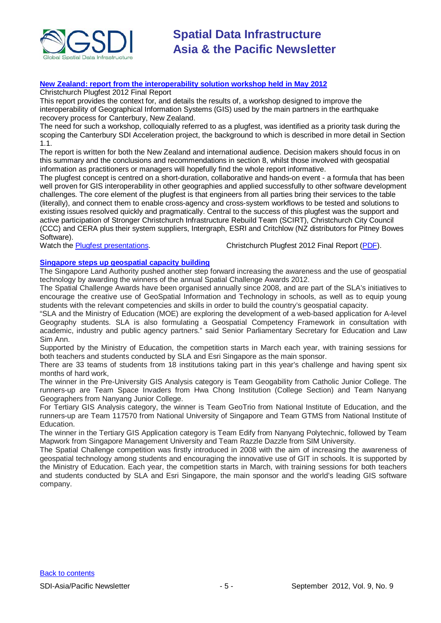

#### **[New Zealand: report from the interoperability solution workshop held in May 2012](http://www.geospatial.govt.nz/christchurch-plugfest-2012-report)**

Christchurch Plugfest 2012 Final Report

This report provides the context for, and details the results of, a workshop designed to improve the interoperability of Geographical Information Systems (GIS) used by the main partners in the earthquake recovery process for Canterbury, New Zealand.

The need for such a workshop, colloquially referred to as a plugfest, was identified as a priority task during the scoping the Canterbury SDI Acceleration project, the background to which is described in more detail in Section 1.1.

The report is written for both the New Zealand and international audience. Decision makers should focus in on this summary and the conclusions and recommendations in section 8, whilst those involved with geospatial information as practitioners or managers will hopefully find the whole report informative.

The plugfest concept is centred on a short-duration, collaborative and hands-on event - a formula that has been well proven for GIS interoperability in other geographies and applied successfully to other software development challenges. The core element of the plugfest is that engineers from all parties bring their services to the table (literally), and connect them to enable cross-agency and cross-system workflows to be tested and solutions to existing issues resolved quickly and pragmatically. Central to the success of this plugfest was the support and active participation of Stronger Christchurch Infrastructure Rebuild Team (SCIRT), Christchurch City Council (CCC) and CERA plus their system suppliers, Intergraph, ESRI and Critchlow (NZ distributors for Pitney Bowes Software).

Watch the **Plugfest presentations.** Christchurch Plugfest 2012 Final Report [\(PDF\)](http://www.geospatial.govt.nz/sites/default/files/ConsultingWhere_Canterbury_GI_Interoperability_Plugfest_Report_20120716.pdf).

#### **[Singapore steps up geospatial capacity building](http://www.futuregov.asia/articles/2012/jul/28/singapore-steps-geospatial-capacity-building/)**

The Singapore Land Authority pushed another step forward increasing the awareness and the use of geospatial technology by awarding the winners of the annual Spatial Challenge Awards 2012.

The Spatial Challenge Awards have been organised annually since 2008, and are part of the SLA's initiatives to encourage the creative use of GeoSpatial Information and Technology in schools, as well as to equip young students with the relevant competencies and skills in order to build the country's geospatial capacity.

"SLA and the Ministry of Education (MOE) are exploring the development of a web-based application for A-level Geography students. SLA is also formulating a Geospatial Competency Framework in consultation with academic, industry and public agency partners." said Senior Parliamentary Secretary for Education and Law Sim Ann.

Supported by the Ministry of Education, the competition starts in March each year, with training sessions for both teachers and students conducted by SLA and Esri Singapore as the main sponsor.

There are 33 teams of students from 18 institutions taking part in this year's challenge and having spent six months of hard work,

The winner in the Pre-University GIS Analysis category is Team Geogability from Catholic Junior College. The runners-up are Team Space Invaders from Hwa Chong Institution (College Section) and Team Nanyang Geographers from Nanyang Junior College.

For Tertiary GIS Analysis category, the winner is Team GeoTrio from National Institute of Education, and the runners-up are Team 117570 from National University of Singapore and Team GTMS from National Institute of Education.

The winner in the Tertiary GIS Application category is Team Edify from Nanyang Polytechnic, followed by Team Mapwork from Singapore Management University and Team Razzle Dazzle from SIM University.

The Spatial Challenge competition was firstly introduced in 2008 with the aim of increasing the awareness of geospatial technology among students and encouraging the innovative use of GIT in schools. It is supported by the Ministry of Education. Each year, the competition starts in March, with training sessions for both teachers and students conducted by SLA and Esri Singapore, the main sponsor and the world's leading GIS software company.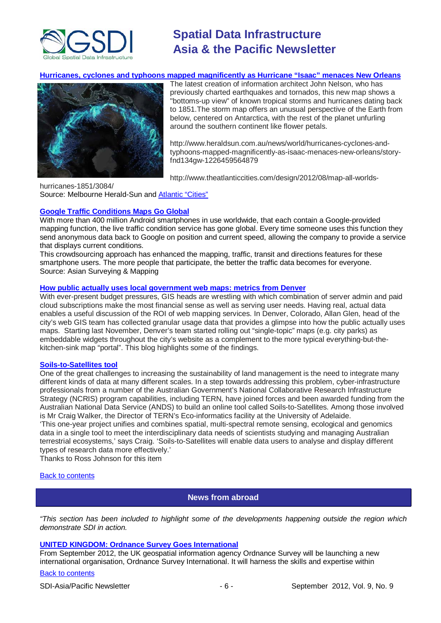

#### **[Hurricanes, cyclones and typhoons mapped magnificently as Hurricane "Isaac" menaces New Orleans](http://www.heraldsun.com.au/news/world/hurricanes-cyclones-and-typhoons-mapped-magnificently-as-isaac-menaces-new-orleans/story-fnd134gw-1226459564879)**



The latest creation of information architect John Nelson, who has previously charted earthquakes and tornados, this new map shows a "bottoms-up view" of known tropical storms and hurricanes dating back to 1851.The storm map offers an unusual perspective of the Earth from below, centered on Antarctica, with the rest of the planet unfurling around the southern continent like flower petals.

http://www.heraldsun.com.au/news/world/hurricanes-cyclones-andtyphoons-mapped-magnificently-as-isaac-menaces-new-orleans/storyfnd134gw-1226459564879

[http://www.theatlanticcities.com/design/2012/08/map-all-worlds-](http://www.theatlanticcities.com/design/2012/08/map-all-worlds-hurricanes-1851/3084/)

[hurricanes-1851/3084/](http://www.theatlanticcities.com/design/2012/08/map-all-worlds-hurricanes-1851/3084/) Source: Melbourne Herald-Sun and [Atlantic "Cities"](http://www.theatlanticcities.com/design/2012/08/map-all-worlds-hurricanes-1851/3084/)

#### **[Google Traffic Conditions Maps Go Global](http://www.asmmag.com/201208154058/google-traffic-conditions-feature-goes-global.html)**

With more than 400 million Android smartphones in use worldwide, that each contain a Google-provided mapping function, the live traffic condition service has gone global. Every time someone uses this function they send anonymous data back to Google on position and current speed, allowing the company to provide a service that displays current conditions.

This crowdsourcing approach has enhanced the mapping, traffic, transit and directions features for these smartphone users. The more people that participate, the better the traffic data becomes for everyone. Source: Asian Surveying & Mapping

#### **[How public actually uses local government web maps: metrics from Denver](http://mapbrief.com/2012/08/01/how-the-public-actually-uses-local-government-web-maps-metrics-from-denver/)**

With ever-present budget pressures, GIS heads are wrestling with which combination of server admin and paid cloud subscriptions make the most financial sense as well as serving user needs. Having real, actual data enables a useful discussion of the ROI of web mapping services. In Denver, Colorado, Allan Glen, head of the city's web GIS team has collected granular usage data that provides a glimpse into how the public actually uses maps. Starting last November, Denver's team started rolling out "single-topic" maps (e.g. city parks) as embeddable widgets throughout the city's website as a complement to the more typical everything-but-thekitchen-sink map "portal". This blog highlights some of the findings.

#### **[Soils-to-Satellites tool](http://www.tern.org.au/Newsletter-2012-Aug-NCRISSoils2Satellites-pg23207.html)**

One of the great challenges to increasing the sustainability of land management is the need to integrate many different kinds of data at many different scales. In a step towards addressing this problem, cyber-infrastructure professionals from a number of the Australian Government's National Collaborative Research Infrastructure Strategy (NCRIS) program capabilities, including TERN, have joined forces and been awarded funding from the Australian National Data Service (ANDS) to build an online tool called Soils-to-Satellites. Among those involved is Mr Craig Walker, the Director of TERN's Eco-informatics facility at the University of Adelaide. 'This one-year project unifies and combines spatial, multi-spectral remote sensing, ecological and genomics

data in a single tool to meet the interdisciplinary data needs of scientists studying and managing Australian terrestrial ecosystems,' says Craig. 'Soils-to-Satellites will enable data users to analyse and display different types of research data more effectively.'

Thanks to Ross Johnson for this item

#### <span id="page-5-0"></span>[Back to contents](#page-0-0)

### **News from abroad**

*"This section has been included to highlight some of the developments happening outside the region which demonstrate SDI in action.*

#### **[UNITED KINGDOM: Ordnance Survey](http://www.ordnancesurvey.co.uk/oswebsite/news/2012/07/ordnance-survey-provides-expertise-internationally.html) Goes International**

From September 2012, the UK geospatial information agency Ordnance Survey will be launching a new international organisation, Ordnance Survey International. It will harness the skills and expertise within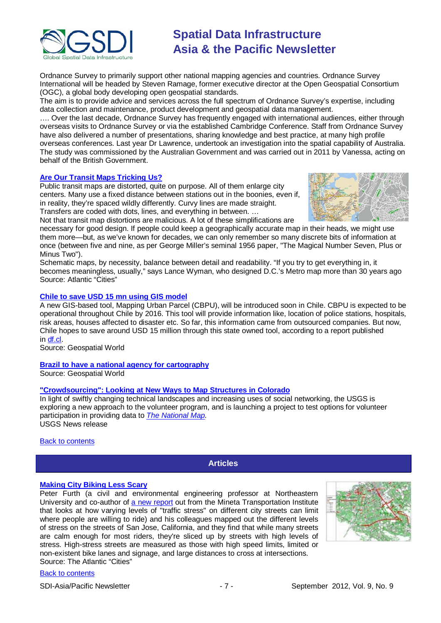

Ordnance Survey to primarily support other national mapping agencies and countries. Ordnance Survey International will be headed by Steven Ramage, former executive director at the Open Geospatial Consortium (OGC), a global body developing open geospatial standards.

The aim is to provide advice and services across the full spectrum of Ordnance Survey's expertise, including data collection and maintenance, product development and geospatial data management.

…. Over the last decade, Ordnance Survey has frequently engaged with international audiences, either through overseas visits to Ordnance Survey or via the established Cambridge Conference. Staff from Ordnance Survey have also delivered a number of presentations, sharing knowledge and best practice, at many high profile overseas conferences. Last year Dr Lawrence, undertook an investigation into the spatial capability of Australia. The study was commissioned by the Australian Government and was carried out in 2011 by Vanessa, acting on behalf of the British Government.

#### **[Are Our Transit Maps Tricking Us?](http://www.theatlanticcities.com/commute/2012/08/are-our-transit-maps-tricking-us/3072/)**

Public transit maps are distorted, quite on purpose. All of them enlarge city centers. Many use a fixed distance between stations out in the boonies, even if, in reality, they're spaced wildly differently. Curvy lines are made straight. Transfers are coded with dots, lines, and everything in between. …



Not that transit map distortions are malicious. A lot of these simplifications are

necessary for good design. If people could keep a geographically accurate map in their heads, we might use them more—but, as we've known for decades, we can only remember so many discrete bits of information at once (between five and nine, as per George Miller's seminal 1956 paper, "The Magical Number Seven, Plus or Minus Two").

Schematic maps, by necessity, balance between detail and readability. "If you try to get everything in, it becomes meaningless, usually," says Lance Wyman, who designed D.C.'s Metro map more than 30 years ago Source: Atlantic "Cities"

#### **Chile to save USD 15 mn using GIS model**

A new GIS-based tool, Mapping Urban Parcel (CBPU), will be introduced soon in Chile. CBPU is expected to be operational throughout Chile by 2016. This tool will provide information like, location of police stations, hospitals, risk areas, houses affected to disaster etc. So far, this information came from outsourced companies. But now, Chile hopes to save around USD 15 million through this state owned tool, according to a report published in [df.cl.](http://www.df.cl/nuevo-sistema-geografico-ahorrara-us-15-millones-al-estado/prontus_df/2012-08-21/213433.html)

Source: Geospatial World

#### **[Brazil to have a national agency for cartography](http://www.geospatialworld.net/index.php?option=com_content&view=article&id=25528%3Abrazil-to-have-a-national-agency-for-cartography&catid=66%3Aapplication-miscellaneous&Itemid=1)**

Source: Geospatial World

#### **["Crowdsourcing": Looking at New Ways to Map Structures in Colorado](http://www.usgs.gov/newsroom/article.asp?ID=3366&from=rss_home#.UEA_A8HiYgt)**

In light of swiftly changing technical landscapes and increasing uses of social networking, the USGS is exploring a new approach to the volunteer program, and is launching a project to test options for volunteer participation in providing data to *[The National Map.](http://nationalmap.gov/)* USGS News release

<span id="page-6-0"></span>[Back to contents](#page-0-0)

#### **Articles**

#### **[Making City Biking Less Scary](http://www.theatlanticcities.com/commute/2012/08/making-city-biking-less-scary/2901/)**

Peter Furth (a civil and environmental engineering professor at Northeastern University and co-author of [a new report](http://transweb.sjsu.edu/project/1005.html) out from the Mineta Transportation Institute that looks at how varying levels of "traffic stress" on different city streets can limit where people are willing to ride) and his colleagues mapped out the different levels of stress on the streets of San Jose, California, and they find that while many streets are calm enough for most riders, they're sliced up by streets with high levels of stress. High-stress streets are measured as those with high speed limits, limited or non-existent bike lanes and signage, and large distances to cross at intersections. Source: The Atlantic "Cities"

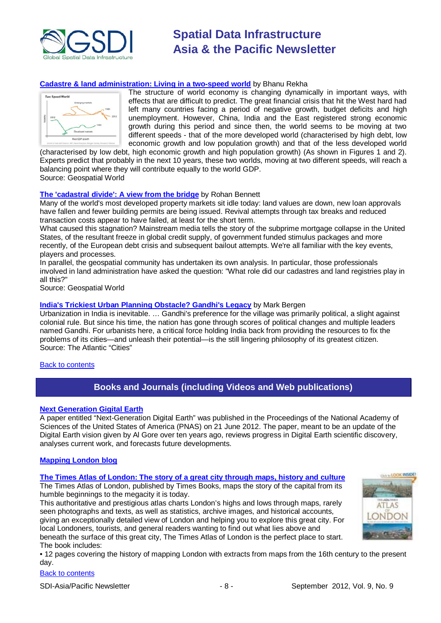

### **[Cadastre & land administration: Living in a two-speed world](http://www.geospatialworld.net/index.php?option=com_content&view=article&id=25106&Itemid=48)** by Bhanu Rekha



The structure of world economy is changing dynamically in important ways, with effects that are difficult to predict. The great financial crisis that hit the West hard had left many countries facing a period of negative growth, budget deficits and high unemployment. However, China, India and the East registered strong economic growth during this period and since then, the world seems to be moving at two different speeds - that of the more developed world (characterised by high debt, low economic growth and low population growth) and that of the less developed world

(characterised by low debt, high economic growth and high population growth) (As shown in Figures 1 and 2). Experts predict that probably in the next 10 years, these two worlds, moving at two different speeds, will reach a balancing point where they will contribute equally to the world GDP. Source: Geospatial World

#### **[The 'cadastral divide': A view from the bridge](http://www.geospatialworld.net/images/magazines/GeospatialWorld-June-2012-42-45%20Rohan.pdf)** by Rohan Bennett

Many of the world's most developed property markets sit idle today: land values are down, new loan approvals have fallen and fewer building permits are being issued. Revival attempts through tax breaks and reduced transaction costs appear to have failed, at least for the short term.

What caused this stagnation? Mainstream media tells the story of the subprime mortgage collapse in the United States, of the resultant freeze in global credit supply, of government funded stimulus packages and more recently, of the European debt crisis and subsequent bailout attempts. We're all familiar with the key events, players and processes.

In parallel, the geospatial community has undertaken its own analysis. In particular, those professionals involved in land administration have asked the question: "What role did our cadastres and land registries play in all this?"

Source: Geospatial World

#### **India's Trickiest Urban [Planning Obstacle? Gandhi's Legacy](http://www.theatlanticcities.com/politics/2012/08/indias-trickiest-urban-planning-obstacle-gandhis-legacy/2953/)** by Mark Bergen

Urbanization in India is inevitable. … Gandhi's preference for the village was primarily political, a slight against colonial rule. But since his time, the nation has gone through scores of political changes and multiple leaders named Gandhi. For urbanists here, a critical force holding India back from providing the resources to fix the problems of its cities—and unleash their potential—is the still lingering philosophy of its greatest citizen. Source: The Atlantic "Cities"

#### <span id="page-7-0"></span>[Back to contents](#page-0-0)

### **Books and Journals (including Videos and Web publications)**

#### **[Next Generation Gigital Earth](http://www.pnas.org/content/early/2012/06/20/1202383109.full.pdf+html)**

A paper entitled "Next-Generation Digital Earth" was published in the Proceedings of the National Academy of Sciences of the United States of America (PNAS) on 21 June 2012. The paper, meant to be an update of the Digital Earth vision given by Al Gore over ten years ago, reviews progress in Digital Earth scientific discovery, analyses current work, and forecasts future developments.

#### **[Mapping London blog](http://mappinglondon.co.uk/)**

#### **[The Times Atlas of London: The story of a great city through maps, history and culture](http://www.amazon.co.uk/The-Times-Atlas-London-through/dp/000747878X/ref=dp_ob_title_bk/276-8554739-4666061)**

The Times Atlas of London, published by Times Books, maps the story of the capital from its humble beginnings to the megacity it is today.

This authoritative and prestigious atlas charts London's highs and lows through maps, rarely seen photographs and texts, as well as statistics, archive images, and historical accounts, giving an exceptionally detailed view of London and helping you to explore this great city. For local Londoners, tourists, and general readers wanting to find out what lies above and beneath the surface of this great city, The Times Atlas of London is the perfect place to start. The book includes:

• 12 pages covering the history of mapping London with extracts from maps from the 16th century to the present day.

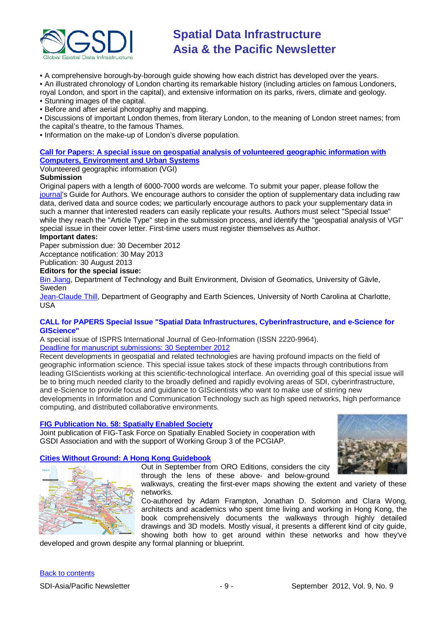

• A comprehensive borough-by-borough guide showing how each district has developed over the years.

• An illustrated chronology of London charting its remarkable history (including articles on famous Londoners, royal London, and sport in the capital), and extensive information on its parks, rivers, climate and geology.

• Stunning images of the capital.

• Before and after aerial photography and mapping.

• Discussions of important London themes, from literary London, to the meaning of London street names; from the capital's theatre, to the famous Thames.

• Information on the make-up of London's diverse population.

#### **[Call for Papers: A special issue on geospatial analysis of volunteered geographic information with](http://www.journals.elsevier.com/computers-environment-and-urban-systems/call-for-papers/call-for-papers-a-special-issue-on-geospatial/)  [Computers, Environment and Urban Systems](http://www.journals.elsevier.com/computers-environment-and-urban-systems/call-for-papers/call-for-papers-a-special-issue-on-geospatial/)**

Volunteered geographic information (VGI)

#### **Submission**

Original papers with a length of 6000-7000 words are welcome. To submit your paper, please follow the [journal's](http://ees.elsevier.com/ceus/) Guide for Authors. We encourage authors to consider the option of supplementary data including raw data, derived data and source codes; we particularly encourage authors to pack your supplementary data in such a manner that interested readers can easily replicate your results. Authors must select "Special Issue" while they reach the "Article Type" step in the submission process, and identify the "geospatial analysis of VGI" special issue in their cover letter. First-time users must register themselves as Author.

#### **Important dates:**

Paper submission due: 30 December 2012 Acceptance notification: 30 May 2013

Publication: 30 August 2013

#### **Editors for the special issue:**

[Bin Jiang,](mailto:bin.jiang@hig.se) Department of Technology and Built Environment, Division of Geomatics, University of Gävle, Sweden

[Jean-Claude Thill,](mailto:Jean-Claude.Thill@uncc.edu) Department of Geography and Earth Sciences, University of North Carolina at Charlotte, USA

#### **CALL for PAPERS Special Issue "Spatial Data Infrastructures, Cyberinfrastructure, and e-Science for GIScience"**

A special issue of ISPRS International Journal of Geo-Information (ISSN 2220-9964). [Deadline for manuscript submissions: 30 September 2012](http://www.mdpi.com/journal/ijgi/special_issues/spatial_data/)

Recent developments in geospatial and related technologies are having profound impacts on the field of geographic information science. This special issue takes stock of these impacts through contributions from leading GIScientists working at this scientific-technological interface. An overriding goal of this special issue will be to bring much needed clarity to the broadly defined and rapidly evolving areas of SDI, cyberinfrastructure, and e-Science to provide focus and guidance to GIScientists who want to make use of stirring new developments in Information and Communication Technology such as high speed networks, high performance computing, and distributed collaborative environments.

#### **[FIG Publication No. 58: Spatially Enabled Society](http://www.fig.net/pub/figpub/pub58/figpub58.pdf)**

Joint publication of FIG-Task Force on Spatially Enabled Society in cooperation with GSDI Association and with the support of Working Group 3 of the PCGIAP.



**[Cities Without Ground: A Hong Kong Guidebook](http://citieswithoutground.com/)** Out in September from ORO Editions, considers the city through the lens of these above- and below-ground

> walkways, creating the first-ever maps showing the extent and variety of these networks.

Co-authored by Adam Frampton, Jonathan D. Solomon and Clara Wong, architects and academics who spent time living and working in Hong Kong, the book comprehensively documents the walkways through highly detailed drawings and 3D models. Mostly visual, it presents a different kind of city guide, showing both how to get around within these networks and how they've

developed and grown despite any formal planning or blueprint.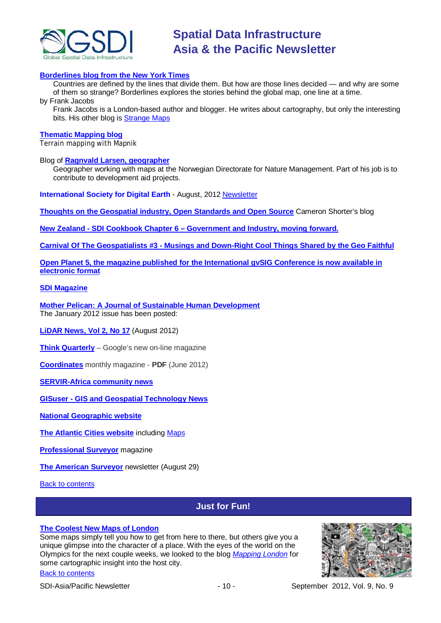

#### **[Borderlines blog from the New York Times](http://opinionator.blogs.nytimes.com/category/borderlines/)**

Countries are defined by the lines that divide them. But how are those lines decided — and why are some of them so strange? Borderlines explores the stories behind the global map, one line at a time.

by Frank Jacobs

Frank Jacobs is a London-based author and blogger. He writes about cartography, but only the interesting bits. His other blog is [Strange Maps](http://bigthink.com/blogs/strange-maps)

#### **[Thematic Mapping blog](http://blog.thematicmapping.org/)**

Terrain mapping with Mapnik

#### Blog of **[Ragnvald Larsen, geographer](http://www.mindland.com/wp/)**

Geographer working with maps at the Norwegian Directorate for Nature Management. Part of his job is to contribute to development aid projects.

**International Society for Digital Earth** - August, 2012 [Newsletter](http://www.digitalearth-isde.org/news/isde-newsletter(201208).html)

**[Thoughts on the Geospatial industry, Open Standards and Open Source](http://cameronshorter.blogspot.com/2011/06/memoirs-of-cat-herder-coordinating.html)** Cameron Shorter's blog

**New Zealand - SDI Cookbook Chapter 6 – [Government and Industry, moving forward.](http://www.geospatial.govt.nz/sdi-cookbook-chapter-6-government-and-industry-moving-forward)**

**Carnival Of The Geospatialists #3 - [Musings and Down-Right Cool Things Shared by the Geo Faithful](http://www.gisuser.com/content/view/25690/28/)**

**Open Planet 5, the magazine published for the International gvSIG Conference is now available in [electronic format](http://jornadas.gvsig.org/descargas/magazine)**

#### **[SDI Magazine](http://www.sdimag.com/)**

**[Mother Pelican: A Journal of Sustainable Human Development](http://www.pelicanweb.org/solisustv08n01page1.html)** The January 2012 issue has been posted:

**[LiDAR News, Vol 2, No 17](http://www.lidarnews.com/newsletter/Vol2No17.htm)** (August 2012)

**[Think Quarterly](http://thinkquarterly.co.uk/#aboutthebook)** – Google's new on-line magazine

**[Coordinates](http://mycoordinates.org/pdf/jun12.pdf)** monthly magazine - **PDF** (June 2012)

**[SERVIR-Africa community news](http://www.servirglobal.net/africa/en/News/CommunityNews.aspx)**

**GISuser - [GIS and Geospatial Technology News](http://www.gisuser.com/)**

**[National Geographic website](http://www.nationalgeographic.com/)**

**[The Atlantic Cities website](http://www.theatlanticcities.com/)** including [Maps](http://www.theatlanticcities.com/posts/map/)

**[Professional Surveyor](http://www.profsurv.com/)** magazine

**[The American Surveyor](http://www.amerisurv.com/newsletter/29AUG2012.htm)** newsletter (August 29)

<span id="page-9-0"></span>[Back to contents](#page-0-0)

[Back to contents](#page-0-0)

## **Just for Fun!**

#### **[The Coolest New Maps of London](http://www.theatlanticcities.com/arts-and-lifestyle/2012/07/coolest-new-maps-london/2754/)**

Some maps simply tell you how to get from here to there, but others give you a unique glimpse into the character of a place. With the eyes of the world on the Olympics for the next couple weeks, we looked to the blog *[Mapping London](http://mappinglondon.co.uk/)* for some cartographic insight into the host city.



SDI-Asia/Pacific Newsletter  $\sim$  10 - September 2012, Vol. 9, No. 9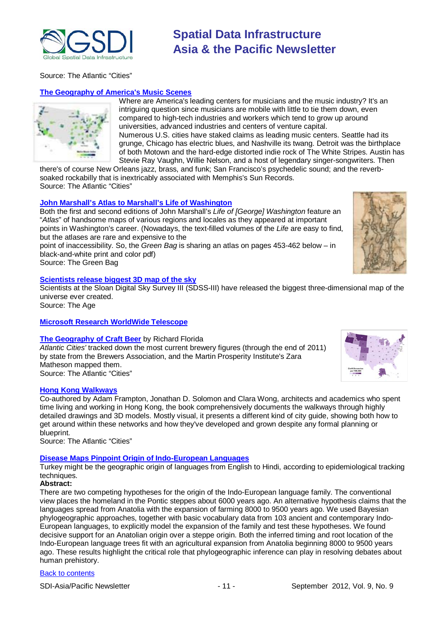

Source: The Atlantic "Cities"

#### **The Geography of America's Music Scenes**

Where are America's leading centers for musicians and the music industry? It's an intriguing question since musicians are mobile with little to tie them down, even compared to high-tech industries and workers which tend to grow up around universities, advanced industries and centers of venture capital. Numerous U.S. cities have staked claims as leading music centers. Seattle had its grunge, Chicago has electric blues, and Nashville its twang. Detroit was the birthplace of both Motown and the hard-edge distorted indie rock of The White Stripes. Austin has Stevie Ray Vaughn, Willie Nelson, and a host of legendary singer-songwriters. Then

there's of course New Orleans jazz, brass, and funk; San Francisco's psychedelic sound; and the reverbsoaked rockabilly that is inextricably associated with Memphis's Sun Records. Source: The Atlantic "Cities"

#### **John Marshall's [Atlas to Marshall's Life of Washington](http://www.greenbag.org/v15n4/v15n4_from_the_bag_Marshalls_Maps_color_large.pdf)**

Both the first and second editions of John Marshall's *Life of [George] Washington* feature an "*Atlas*" of handsome maps of various regions and locales as they appeared at important points in Washington's career. (Nowadays, the text-filled volumes of the *Life* are easy to find, but the atlases are rare and expensive to the

point of inaccessibility. So, the *Green Bag* is sharing an atlas on pages 453-462 below – in black-and-white print and color pdf)

Source: The Green Bag

#### **[Scientists release biggest 3D map of the sky](http://www.theage.com.au/technology/sci-tech/way-beyond-mars-scientists-release-biggest-3d-map-of-the-sky-20120813-243es.html#ixzz23NB5PusX)**

Scientists at the Sloan Digital Sky Survey III (SDSS-III) have released the biggest three-dimensional map of the universe ever created.

Source: The Age

#### **[Microsoft Research WorldWide Telescope](http://www.worldwidetelescope.org/Home.aspx)**

#### **[The Geography of Craft Beer](http://www.theatlanticcities.com/arts-and-lifestyle/2012/08/geography-craft-beer/2931/)** by Richard Florida

*Atlantic Cities'* tracked down the most current brewery figures (through the end of 2011) by state from the Brewers Association, and the Martin Prosperity Institute's Zara Matheson mapped them. Source: The Atlantic "Cities"

#### **[Hong Kong Walkways](http://www.theatlanticcities.com/design/2012/08/hong-kong-city-without-ground/3000/)**

Co-authored by Adam Frampton, Jonathan D. Solomon and Clara Wong, architects and academics who spent time living and working in Hong Kong, the book comprehensively documents the walkways through highly detailed drawings and 3D models. Mostly visual, it presents a different kind of city guide, showing both how to get around within these networks and how they've developed and grown despite any formal planning or blueprint.

Source: The Atlantic "Cities"

### **[Disease Maps Pinpoint Origin of Indo-European Languages](http://www.scientificamerican.com/article.cfm?id=disease-maps-pinpoint-origin-of-indo-european-languages&WT.mc_id=SA_WR_20120829)**

Turkey might be the geographic origin of languages from English to Hindi, according to epidemiological tracking techniques

### **Abstract:**

There are two competing hypotheses for the origin of the Indo-European language family. The conventional view places the homeland in the Pontic steppes about 6000 years ago. An alternative hypothesis claims that the languages spread from Anatolia with the expansion of farming 8000 to 9500 years ago. We used Bayesian phylogeographic approaches, together with basic vocabulary data from 103 ancient and contemporary Indo-European languages, to explicitly model the expansion of the family and test these hypotheses. We found decisive support for an Anatolian origin over a steppe origin. Both the inferred timing and root location of the Indo-European language trees fit with an agricultural expansion from Anatolia beginning 8000 to 9500 years ago. These results highlight the critical role that phylogeographic inference can play in resolving debates about human prehistory.



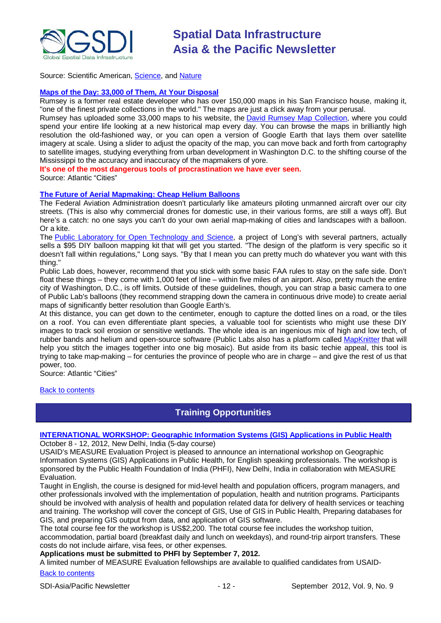

Source: Scientific American, [Science,](http://www.sciencemag.org/content/337/6097/957) and [Nature](http://www.nature.com/news/a-turkish-origin-for-indo-european-languages-1.11270)

#### **[Maps of the Day: 33,000 of Them, At Your Disposal](http://www.theatlanticcities.com/design/2012/08/maps-day-33000-them-your-disposal/3070/)**

Rumsey is a former real estate developer who has over 150,000 maps in his San Francisco house, making it, "one of the finest private collections in the world." The maps are just a click away from your perusal.

Rumsey has uploaded some 33,000 maps to his website, the [David Rumsey Map Collection,](http://www.davidrumsey.com/view) where you could spend your entire life looking at a new historical map every day. You can browse the maps in brilliantly high resolution the old-fashioned way, or you can open a version of Google Earth that lays them over satellite imagery at scale. Using a slider to adjust the opacity of the map, you can move back and forth from cartography to satellite images, studying everything from urban development in Washington D.C. to the shifting course of the Mississippi to the accuracy and inaccuracy of the mapmakers of yore.

**It's one of the most dangerous tools of procrastination we have ever seen.**

Source: Atlantic "Cities"

#### **[The Future of Aerial Mapmaking: Cheap Helium Balloons](http://www.theatlanticcities.com/technology/2012/08/future-aerial-mapmaking-cheap-helium-balloons/3108/)**

The Federal Aviation Administration doesn't particularly like amateurs piloting unmanned aircraft over our city streets. (This is also why commercial drones for domestic use, in their various forms, are still a ways off). But here's a catch: no one says you can't do your own aerial map-making of cities and landscapes with a balloon. Or a kite.

The [Public Laboratory for Open Technology and Science,](http://publiclaboratory.org/home) a project of Long's with several partners, actually sells a \$95 DIY balloon mapping kit that will get you started. "The design of the platform is very specific so it doesn't fall within regulations," Long says. "By that I mean you can pretty much do whatever you want with this thing."

Public Lab does, however, recommend that you stick with some basic FAA rules to stay on the safe side. Don't float these things – they come with 1,000 feet of line – within five miles of an airport. Also, pretty much the entire city of Washington, D.C., is off limits. Outside of these guidelines, though, you can strap a basic camera to one of Public Lab's balloons (they recommend strapping down the camera in continuous drive mode) to create aerial maps of significantly better resolution than Google Earth's.

At this distance, you can get down to the centimeter, enough to capture the dotted lines on a road, or the tiles on a roof. You can even differentiate plant species, a valuable tool for scientists who might use these DIY images to track soil erosion or sensitive wetlands. The whole idea is an ingenious mix of high and low tech, of rubber bands and helium and open-source software (Public Labs also has a platform called [MapKnitter](http://mapknitter.org/) that will help you stitch the images together into one big mosaic). But aside from its basic techie appeal, this tool is trying to take map-making – for centuries the province of people who are in charge – and give the rest of us that power, too.

Source: Atlantic "Cities"

<span id="page-11-0"></span>[Back to contents](#page-0-0)

### **Training Opportunities**

### **[INTERNATIONAL WORKSHOP: Geographic Information Systems \(GIS\) Applications in Public Health](https://www.cpc.unc.edu/measure/training/workshops/geographic-information-systems-gis-applications-in-public-health-1/geographic-information-systems-applications-in-public-health-workshop)**

October 8 - 12, 2012, New Delhi, India (5-day course)

USAID's MEASURE Evaluation Project is pleased to announce an international workshop on Geographic Information Systems (GIS) Applications in Public Health, for English speaking professionals. The workshop is sponsored by the Public Health Foundation of India (PHFI), New Delhi, India in collaboration with MEASURE Evaluation.

Taught in English, the course is designed for mid-level health and population officers, program managers, and other professionals involved with the implementation of population, health and nutrition programs. Participants should be involved with analysis of health and population related data for delivery of health services or teaching and training. The workshop will cover the concept of GIS, Use of GIS in Public Health, Preparing databases for GIS, and preparing GIS output from data, and application of GIS software.

The total course fee for the workshop is US\$2,200. The total course fee includes the workshop tuition,

accommodation, partial board (breakfast daily and lunch on weekdays), and round-trip airport transfers. These costs do not include airfare, visa fees, or other expenses.

#### **Applications must be submitted to PHFI by September 7, 2012.**

A limited number of MEASURE Evaluation fellowships are available to qualified candidates from USAID-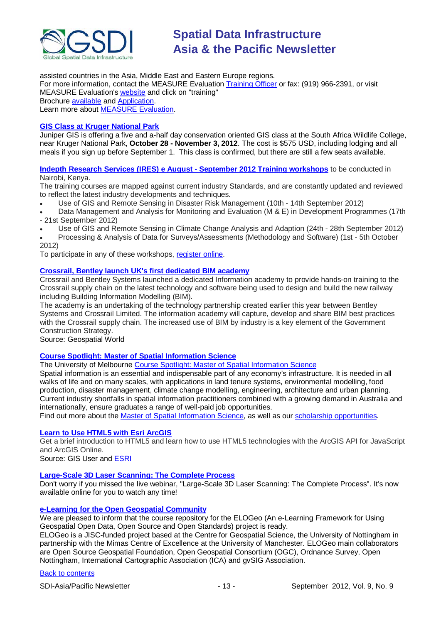

assisted countries in the Asia, Middle East and Eastern Europe regions. For more information, contact the MEASURE Evaluation [Training Officer](mailto:measure_training@unc.edu) or fax: (919) 966-2391, or visit MEASURE Evaluation's [website](http://www.cpc.unc.edu/measure) and click on "training" Brochure [available](https://www.cpc.unc.edu/measure/training/workshops/geographic-information-systems-gis-applications-in-public-health-1/gis-workshop-brochure-october-2012) and [Application.](https://www.cpc.unc.edu/measure/training/workshops/geographic-information-systems-gis-applications-in-public-health-1/gis-workshop-application-2012) Learn more about [MEASURE Evaluation.](http://www.cpc.unc.edu/measure)

#### **[GIS Class at Kruger National Park](http://www.junipergis.com/training/destinations/south-africa-gis-training/)**

Juniper GIS is offering a five and a-half day conservation oriented GIS class at the South Africa Wildlife College, near Kruger National Park, **October 28 - November 3, 2012**. The cost is \$575 USD, including lodging and all meals if you sign up before September 1. This class is confirmed, but there are still a few seats available.

**[Indepth Research Services \(IRES\) e August -](http://indepthresearch.us1.list-manage.com/track/click?u=079fb9f777e8d11db604a5219&id=350a4ca385&e=7cbe1e64f1) September 2012 Training workshops** to be conducted in Nairobi, Kenya.

The training courses are mapped against current industry Standards, and are constantly updated and reviewed to reflect the latest industry developments and techniques.

- Use of GIS and Remote Sensing in Disaster Risk Management (10th 14th September 2012)
- Data Management and Analysis for Monitoring and Evaluation (M & E) in Development Programmes (17th
- 21st September 2012)
- Use of GIS and Remote Sensing in Climate Change Analysis and Adaption (24th 28th September 2012)
- Processing & Analysis of Data for Surveys/Assessments (Methodology and Software) (1st 5th October 2012)

To participate in any of these workshops, [register online.](http://indepthresearch.us1.list-manage.com/track/click?u=079fb9f777e8d11db604a5219&id=fa3571201a&e=7cbe1e64f1)

#### **[Crossrail, Bentley launch UK's first dedicated BIM academy](http://www.geospatialworld.net/index.php?option=com_content&view=article&id=25529%3Acrossrail-bentley-launch-uks-first-dedicated-bim-academy&catid=77%3Amiscellaneous-education&Itemid=1)**

Crossrail and Bentley Systems launched a dedicated Information academy to provide hands-on training to the Crossrail supply chain on the latest technology and software being used to design and build the new railway including Building Information Modelling (BIM).

The academy is an undertaking of the technology partnership created earlier this year between Bentley Systems and Crossrail Limited. The information academy will capture, develop and share BIM best practices with the Crossrail supply chain. The increased use of BIM by industry is a key element of the Government Construction Strategy.

Source: Geospatial World

#### **[Course Spotlight: Master of Spatial Information Science](http://themelbourneengineer.eng.unimelb.edu.au/2012/02/course-spotlight-master-of-spatial-information-science/)**

The University of Melbourne [Course Spotlight: Master of Spatial Information Science](http://themelbourneengineer.eng.unimelb.edu.au/2012/02/course-spotlight-master-of-spatial-information-science/)

Spatial information is an essential and indispensable part of any economy's infrastructure. It is needed in all walks of life and on many scales, with applications in land tenure systems, environmental modelling, food production, disaster management, climate change modelling, engineering, architecture and urban planning. Current industry shortfalls in spatial information practitioners combined with a growing demand in Australia and internationally, ensure graduates a range of well-paid job opportunities.

Find out more about the [Master of Spatial Information Science,](http://www.msi.unimelb.edu.au/study/graduate/master-of-spatial-information-science/) as well as our [scholarship opportunities.](http://www.eng.unimelb.edu.au/study/graduate/scholarships.html)

#### **[Learn to Use HTML5](http://www.gisuser.com/content/view/25915/2/) with Esri ArcGIS**

Get a brief introduction to HTML5 and learn how to use HTML5 technologies with the ArcGIS API for JavaScript and ArcGIS Online.

Source: GIS User and [ESRI](http://training.esri.com/Gateway/index.cfm?fa=seminars.gateway)

#### **[Large-Scale 3D Laser Scanning: The Complete Process](http://www.faro.com/site/resources/details/1373?CampaignId=70170000000bbwr)**

Don't worry if you missed the live webinar, "Large-Scale 3D Laser Scanning: The Complete Process". It's now available online for you to watch any time!

### **[e-Learning for the Open Geospatial Community](http://elogeo.nottingham.ac.uk/xmlui)**

We are pleased to inform that the course repository for the ELOGeo (An e-Learning Framework for Using Geospatial Open Data, Open Source and Open Standards) project is ready.

ELOGeo is a JISC-funded project based at the Centre for Geospatial Science, the University of Nottingham in partnership with the Mimas Centre of Excellence at the University of Manchester. ELOGeo main collaborators are Open Source Geospatial Foundation, Open Geospatial Consortium (OGC), Ordnance Survey, Open Nottingham, International Cartographic Association (ICA) and gvSIG Association.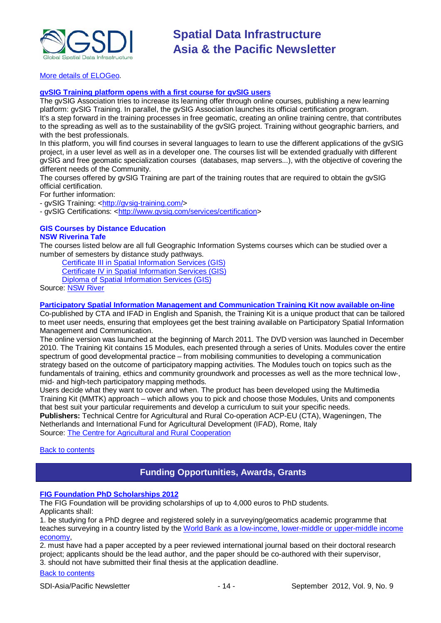

[More details of ELOGeo.](http://elogeo.nottingham.ac.uk/index.html)

### **gvSIG Training platform opens with a first course for gvSIG users**

The gvSIG Association tries to increase its learning offer through online courses, publishing a new learning platform: gvSIG Training. In parallel, the gvSIG Association launches its official certification program. It's a step forward in the training processes in free geomatic, creating an online training centre, that contributes to the spreading as well as to the sustainability of the gvSIG project. Training without geographic barriers, and with the best professionals.

In this platform, you will find courses in several languages to learn to use the different applications of the gvSIG project, in a user level as well as in a developer one. The courses list will be extended gradually with different gvSIG and free geomatic specialization courses (databases, map servers...), with the objective of covering the different needs of the Community.

The courses offered by gvSIG Training are part of the training routes that are required to obtain the gvSIG official certification.

For further information:

- gvSIG Training: [<http://gvsig-training.com/>](http://gvsig-training.com/)

- gvSIG Certifications: [<http://www.gvsig.com/services/certification>](http://www.gvsig.com/services/certification)

## **GIS Courses by Distance Education**

#### **NSW Riverina Tafe**

The courses listed below are all full Geographic Information Systems courses which can be studied over a number of semesters by distance study pathways.

[Certificate III in Spatial Information Services \(GIS\)](http://www.rit.tafensw.edu.au/nec/nrme/giscourses#Cert III in Spatial Information Services (CPP30109)) [Certificate IV in Spatial Information Services \(GIS\)](http://www.rit.tafensw.edu.au/nec/nrme/giscourses#Cert IV in Spatial Information Services (CPP40209))

[Diploma of Spatial Information Services \(GIS\)](http://www.rit.tafensw.edu.au/nec/nrme/giscourses#Diploma of Spatial Information Services (CPP50207))

Sourc[e: NSW River](http://www.rit.tafensw.edu.au/nec/nrme/giscourses)

#### **[Participatory Spatial Information Management and Communication Training Kit now available on-line](http://www.cta.int/en/About-us/CTA-news/Participatory-Spatial-Information-Management-and-Communication-Training-Kit-now-available-on-line)**

Co-published by CTA and IFAD in English and Spanish, the Training Kit is a unique product that can be tailored to meet user needs, ensuring that employees get the best training available on Participatory Spatial Information Management and Communication.

The [online version](http://pgis-tk.cta.int/) was launched at the beginning of March 2011. The DVD version was launched in December 2010. The Training Kit contains 15 Modules, each presented through a series of Units. Modules cover the entire spectrum of good developmental practice – from mobilising communities to developing a communication strategy based on the outcome of participatory mapping activities. The Modules touch on topics such as the fundamentals of training, ethics and community groundwork and processes as well as the more technical low-, mid- and high-tech participatory mapping methods.

Users decide what they want to cover and when. The product has been developed using the Multimedia Training Kit (MMTK) approach – which allows you to pick and choose those Modules, Units and components that best suit your particular requirements and develop a curriculum to suit your specific needs. **Publishers:** Technical Centre for Agricultural and Rural Co-operation ACP-EU (CTA), Wageningen, The

Netherlands and International Fund for Agricultural Development (IFAD), Rome, Italy Source: [The Centre for Agricultural and Rural Cooperation](http://www.cta.int/en/About-us/Who-we-are)

<span id="page-13-0"></span>[Back to contents](#page-0-0)

## **Funding Opportunities, Awards, Grants**

### **FIG Foundation PhD Scholarships 2012**

The FIG Foundation will be providing scholarships of up to 4,000 euros to PhD students. Applicants shall:

1. be studying for a PhD degree and registered solely in a surveying/geomatics academic programme that teaches surveying in a country listed by the [World Bank as a low-income, lower-middle or upper-middle income](http://data.worldbank.org/about/country-classifications/country-and-lending-groups#Low_income)  [economy,](http://data.worldbank.org/about/country-classifications/country-and-lending-groups#Low_income)

2. must have had a paper accepted by a peer reviewed international journal based on their doctoral research project; applicants should be the lead author, and the paper should be co-authored with their supervisor, 3. should not have submitted their final thesis at the application deadline.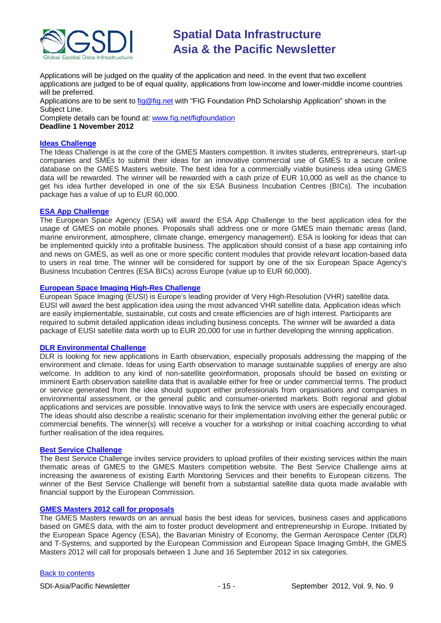

Applications will be judged on the quality of the application and need. In the event that two excellent applications are judged to be of equal quality, applications from low-income and lower-middle income countries will be preferred.

Applications are to be sent to [fig@fig.net](mailto:fig@fig.net) with "FIG Foundation PhD Scholarship Application" shown in the Subject Line.

Complete details can be found at: [www.fig.net/figfoundation](http://www.fig.net/figfoundation) **Deadline 1 November 2012**

#### **[Ideas Challenge](http://www.gmes-masters.com/ideas-challenge)**

The Ideas Challenge is at the core of the GMES Masters competition. It invites students, entrepreneurs, start-up companies and SMEs to submit their ideas for an innovative commercial use of GMES to a secure online database on the GMES Masters website. The best idea for a commercially viable business idea using GMES data will be rewarded. The winner will be rewarded with a cash prize of EUR 10,000 as well as the chance to get his idea further developed in one of the six ESA Business Incubation Centres (BICs). The incubation package has a value of up to EUR 60,000.

#### **[ESA App Challenge](http://www.gmes-masters.com/esa-app-challenge)**

The European Space Agency (ESA) will award the ESA App Challenge to the best application idea for the usage of GMES on mobile phones. Proposals shall address one or more GMES main thematic areas (land, marine environment, atmosphere, climate change, emergency management). ESA is looking for ideas that can be implemented quickly into a profitable business. The application should consist of a base app containing info and news on GMES, as well as one or more specific content modules that provide relevant location-based data to users in real time. The winner will be considered for support by one of the six European Space Agency's Business Incubation Centres (ESA BICs) across Europe (value up to EUR 60,000).

#### **[European Space Imaging High-Res Challenge](http://www.gmes-masters.com/european-space-0)**

European Space Imaging (EUSI) is Europe's leading provider of Very High-Resolution (VHR) satellite data. EUSI will award the best application idea using the most advanced VHR satellite data. Application ideas which are easily implementable, sustainable, cut costs and create efficiencies are of high interest. Participants are required to submit detailed application ideas including business concepts. The winner will be awarded a data package of EUSI satellite data worth up to EUR 20,000 for use in further developing the winning application.

#### **[DLR Environmental Challenge](http://www.gmes-masters.com/dlr-environmental)**

DLR is looking for new applications in Earth observation, especially proposals addressing the mapping of the environment and climate. Ideas for using Earth observation to manage sustainable supplies of energy are also welcome. In addition to any kind of non-satellite geoinformation, proposals should be based on existing or imminent Earth observation satellite data that is available either for free or under commercial terms. The product or service generated from the idea should support either professionals from organisations and companies in environmental assessment, or the general public and consumer-oriented markets. Both regional and global applications and services are possible. Innovative ways to link the service with users are especially encouraged. The ideas should also describe a realistic scenario for their implementation involving either the general public or commercial benefits. The winner(s) will receive a voucher for a workshop or initial coaching according to what further realisation of the idea requires.

#### **[Best Service Challenge](http://www.gmes-masters.com/best-service)**

The Best Service Challenge invites service providers to upload profiles of their existing services within the main thematic areas of GMES to the GMES Masters competition website. The Best Service Challenge aims at increasing the awareness of existing Earth Monitoring Services and their benefits to European citizens. The winner of the Best Service Challenge will benefit from a substantial satellite data quota made available with financial support by the European Commission.

#### **[GMES Masters 2012 call for proposals](http://www.gmes-masters.com/challenges-2012)**

The GMES Masters rewards on an annual basis the best ideas for services, business cases and applications based on GMES data, with the aim to foster product development and entrepreneurship in Europe. Initiated by the European Space Agency (ESA), the Bavarian Ministry of Economy, the German Aerospace Center (DLR) and T-Systems, and supported by the European Commission and European Space Imaging GmbH, the GMES Masters 2012 will call for proposals between 1 June and 16 September 2012 in six categories.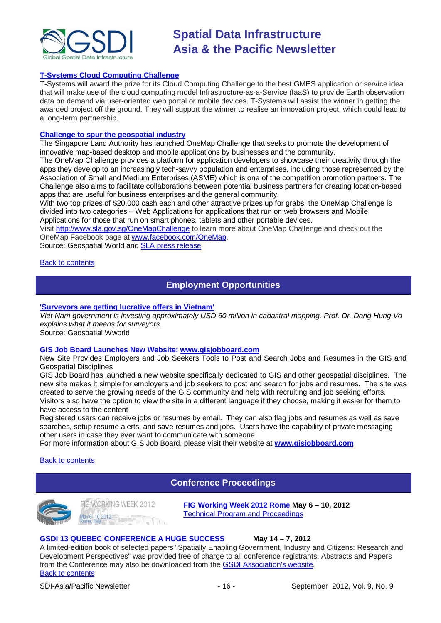

#### **[T-Systems Cloud Computing Challenge](http://www.gmes-masters.com/t-systems-cloud)**

T-Systems will award the prize for its Cloud Computing Challenge to the best GMES application or service idea that will make use of the cloud computing model Infrastructure-as-a-Service (IaaS) to provide Earth observation data on demand via user-oriented web portal or mobile devices. T-Systems will assist the winner in getting the awarded project off the ground. They will support the winner to realise an innovation project, which could lead to a long-term partnership.

#### **[Challenge to spur the geospatial industry](http://geospatialworld.net/index.php?option=com_content&view=article&id=23850:challenge-to-spur-the-geospatial-industry&catid=75:miscellaneous-events)**

The Singapore Land Authority has launched OneMap Challenge that seeks to promote the development of innovative map-based desktop and mobile applications by businesses and the community.

The OneMap Challenge provides a platform for application developers to showcase their creativity through the apps they develop to an increasingly tech-savvy population and enterprises, including those represented by the Association of Small and Medium Enterprises (ASME) which is one of the competition promotion partners. The Challenge also aims to facilitate collaborations between potential business partners for creating location-based apps that are useful for business enterprises and the general community.

With two top prizes of \$20,000 cash each and other attractive prizes up for grabs, the OneMap Challenge is divided into two categories – Web Applications for applications that run on web browsers and Mobile Applications for those that run on smart phones, tablets and other portable devices.

Visit <http://www.sla.gov.sg/OneMapChallenge> to learn more about OneMap Challenge and check out the OneMap Facebook page at [www.facebook.com/OneMap.](http://www.facebook.com/OneMap)

Source: Geospatial World and [SLA press release](http://www.sla.gov.sg/htm/new/new2012/new0401.htm)

#### <span id="page-15-0"></span>[Back to contents](#page-0-0)

### **Employment Opportunities**

#### **['Surveyors are getting lucrative offers in Vietnam'](http://www.geospatialworld.net/index.php?option=com_interview&int=1&view=managetemplate&id=255&Itemid=644)**

*Viet Nam government is investing approximately USD 60 million in cadastral mapping. Prof. Dr. Dang Hung Vo explains what it means for surveyors.*

Source: Geospatial Wworld

#### **GIS Job Board Launches New Website: [www.gisjobboard.com](http://www.gisjobboard.com/)**

New Site Provides Employers and Job Seekers Tools to Post and Search Jobs and Resumes in the GIS and Geospatial Disciplines

GIS Job Board has launched a new website specifically dedicated to GIS and other geospatial disciplines. The new site makes it simple for employers and job seekers to post and search for jobs and resumes. The site was created to serve the growing needs of the GIS community and help with recruiting and job seeking efforts. Visitors also have the option to view the site in a different language if they choose, making it easier for them to have access to the content

Registered users can receive jobs or resumes by email. They can also flag jobs and resumes as well as save searches, setup resume alerts, and save resumes and jobs. Users have the capability of private messaging other users in case they ever want to communicate with someone.

For more information about GIS Job Board, please visit their website at **[www.gisjobboard.com](http://www.gisjobboard.com/)**

#### <span id="page-15-1"></span>[Back to contents](#page-0-0)

### **Conference Proceedings**





**FIG Working Week 2012 Rome May 6 – 10, 2012** [Technical Program and Proceedings](http://www.fig.net/pub/fig2012/techprog.htm)

#### **GSDI 13 QUEBEC CONFERENCE A HUGE SUCCESS May 14 – 7, 2012**

[Back to contents](#page-0-0) A limited-edition book of selected papers "Spatially Enabling Government, Industry and Citizens: Research and Development Perspectives" was provided free of charge to all conference registrants. Abstracts and Papers from the Conference may also be downloaded from th[e GSDI Association's website.](http://www.gsdi.org/gsdiconf/gsdi13/prog_details.html)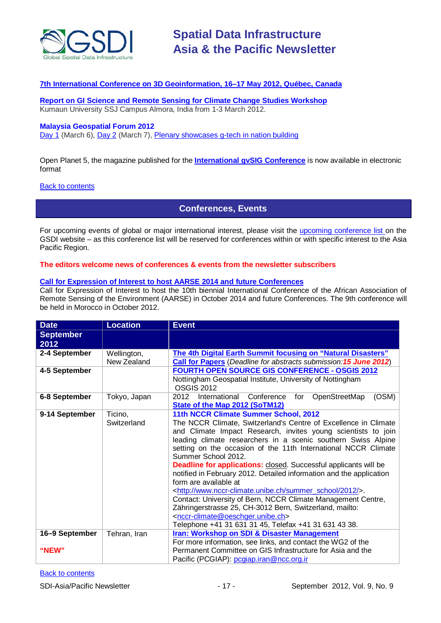

#### **[7th International Conference on 3D Geoinformation, 16–17 May 2012, Québec, Canada](http://www.int-arch-photogramm-remote-sens-spatial-inf-sci.net/XXXVIII-4-C26/)**

**[Report on GI Science and Remote Sensing for Climate Change Studies Workshop](http://www.asmmag.com/201205043668/report-on-gi-science-and-remote-sensing-for-climate-change-studies-workshop.html)** Kumaun University SSJ Campus Almora, India from 1-3 March 2012.

### **Malaysia Geospatial Forum 2012**

[Day 1](http://www.geospatialworld.net/index.php?option=com_content&view=article&id=24204%3Amalaysia-explores-geospatial-opportunities&catid=75%3Amiscellaneous-events&Itemid=1) (March 6), [Day 2](http://www.geospatialworld.net/index.php?option=com_content&view=article&id=24223%3Ageospatial-sector-should-strive-to-become-more-useful&catid=75%3Amiscellaneous-events&Itemid=1) (March 7), [Plenary showcases g-tech in nation building](http://www.geospatialworld.net/index.php?option=com_content&view=article&id=24212%3Aplenary-showcases-g-tech-in-nation-building-&catid=75%3Amiscellaneous-events&Itemid=1)

[Open Planet 5, the magazine published for the](http://jornadas.gvsig.org/descargas/magazine) **International gvSIG Conference** is now available in electronic [format](http://jornadas.gvsig.org/descargas/magazine)

#### <span id="page-16-0"></span>**[Back to contents](#page-0-0)**

### **Conferences, Events**

For upcoming events of global or major international interest, please visit the [upcoming conference list o](http://gsdi.org/events/upcnf.asp)n the GSDI website – as this conference list will be reserved for conferences within or with specific interest to the Asia Pacific Region.

#### **The editors welcome news of conferences & events from the newsletter subscribers**

#### **[Call for Expression of Interest to host AARSE 2014 and future Conferences](http://lists.gsdi.org/pipermail/sdi-africa/2010-November/001135.html)**

Call for Expression of Interest to host the 10th biennial International Conference of the African Association of Remote Sensing of the Environment (AARSE) in October 2014 and future Conferences. The 9th conference will be held in Morocco in October 2012.

| <b>Date</b>              | <b>Location</b>            | <b>Event</b>                                                                                                                                                                                                                                                                                                                                                                                                                                                                                                                                                                                                                                                                                                                                                                                                                                        |  |
|--------------------------|----------------------------|-----------------------------------------------------------------------------------------------------------------------------------------------------------------------------------------------------------------------------------------------------------------------------------------------------------------------------------------------------------------------------------------------------------------------------------------------------------------------------------------------------------------------------------------------------------------------------------------------------------------------------------------------------------------------------------------------------------------------------------------------------------------------------------------------------------------------------------------------------|--|
| <b>September</b><br>2012 |                            |                                                                                                                                                                                                                                                                                                                                                                                                                                                                                                                                                                                                                                                                                                                                                                                                                                                     |  |
| 2-4 September            | Wellington,<br>New Zealand | The 4th Digital Earth Summit focusing on "Natural Disasters"<br><b>Call for Papers</b> (Deadline for abstracts submission: 15 June 2012)                                                                                                                                                                                                                                                                                                                                                                                                                                                                                                                                                                                                                                                                                                            |  |
| 4-5 September            |                            | <b>FOURTH OPEN SOURCE GIS CONFERENCE - OSGIS 2012</b><br>Nottingham Geospatial Institute, University of Nottingham<br><b>OSGIS 2012</b>                                                                                                                                                                                                                                                                                                                                                                                                                                                                                                                                                                                                                                                                                                             |  |
| 6-8 September            | Tokyo, Japan               | (OSM)<br>2012<br>International Conference for<br>OpenStreetMap<br><b>State of the Map 2012 (SoTM12)</b>                                                                                                                                                                                                                                                                                                                                                                                                                                                                                                                                                                                                                                                                                                                                             |  |
| 9-14 September           | Ticino,<br>Switzerland     | 11th NCCR Climate Summer School, 2012<br>The NCCR Climate, Switzerland's Centre of Excellence in Climate<br>and Climate Impact Research, invites young scientists to join<br>leading climate researchers in a scenic southern Swiss Alpine<br>setting on the occasion of the 11th International NCCR Climate<br>Summer School 2012.<br><b>Deadline for applications:</b> closed. Successful applicants will be<br>notified in February 2012. Detailed information and the application<br>form are available at<br><http: 2012="" summer_school="" www.nccr-climate.unibe.ch=""></http:> .<br>Contact: University of Bern, NCCR Climate Management Centre,<br>Zähringerstrasse 25, CH-3012 Bern, Switzerland, mailto:<br><nccr-climate@oeschger.unibe.ch><br/>Telephone +41 31 631 31 45, Telefax +41 31 631 43 38.</nccr-climate@oeschger.unibe.ch> |  |
| 16-9 September<br>"NEW"  | Tehran, Iran               | <b>Iran: Workshop on SDI &amp; Disaster Management</b><br>For more information, see links, and contact the WG2 of the<br>Permanent Committee on GIS Infrastructure for Asia and the<br>Pacific (PCGIAP): pcgiap.iran@ncc.org.ir                                                                                                                                                                                                                                                                                                                                                                                                                                                                                                                                                                                                                     |  |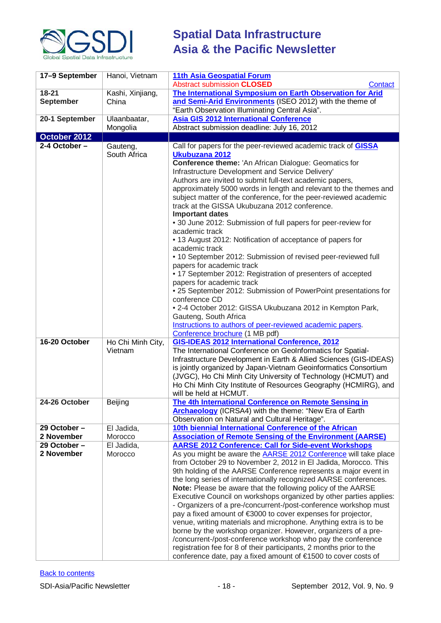

| 17-9 September   | Hanoi, Vietnam           | <b>11th Asia Geospatial Forum</b>                                                                                                      |  |
|------------------|--------------------------|----------------------------------------------------------------------------------------------------------------------------------------|--|
|                  |                          | <b>Abstract submission CLOSED</b><br>Contact                                                                                           |  |
| $18 - 21$        | Kashi, Xinjiang,         | The International Symposium on Earth Observation for Arid                                                                              |  |
| <b>September</b> | China                    | and Semi-Arid Environments (ISEO 2012) with the theme of                                                                               |  |
|                  |                          | "Earth Observation Illuminating Central Asia".                                                                                         |  |
| 20-1 September   | Ulaanbaatar,             | <b>Asia GIS 2012 International Conference</b>                                                                                          |  |
| October 2012     | Mongolia                 | Abstract submission deadline: July 16, 2012                                                                                            |  |
| $2-4$ October -  |                          | Call for papers for the peer-reviewed academic track of <b>GISSA</b>                                                                   |  |
|                  | Gauteng,<br>South Africa | Ukubuzana 2012                                                                                                                         |  |
|                  |                          | <b>Conference theme: 'An African Dialogue: Geomatics for</b>                                                                           |  |
|                  |                          | Infrastructure Development and Service Delivery'                                                                                       |  |
|                  |                          | Authors are invited to submit full-text academic papers,                                                                               |  |
|                  |                          | approximately 5000 words in length and relevant to the themes and                                                                      |  |
|                  |                          | subject matter of the conference, for the peer-reviewed academic                                                                       |  |
|                  |                          | track at the GISSA Ukubuzana 2012 conference.                                                                                          |  |
|                  |                          | <b>Important dates</b>                                                                                                                 |  |
|                  |                          | • 30 June 2012: Submission of full papers for peer-review for                                                                          |  |
|                  |                          | academic track                                                                                                                         |  |
|                  |                          | • 13 August 2012: Notification of acceptance of papers for<br>academic track                                                           |  |
|                  |                          | • 10 September 2012: Submission of revised peer-reviewed full                                                                          |  |
|                  |                          | papers for academic track                                                                                                              |  |
|                  |                          | • 17 September 2012: Registration of presenters of accepted                                                                            |  |
|                  |                          | papers for academic track                                                                                                              |  |
|                  |                          | • 25 September 2012: Submission of PowerPoint presentations for                                                                        |  |
|                  |                          | conference CD                                                                                                                          |  |
|                  |                          | • 2-4 October 2012: GISSA Ukubuzana 2012 in Kempton Park,                                                                              |  |
|                  |                          | Gauteng, South Africa                                                                                                                  |  |
|                  |                          | Instructions to authors of peer-reviewed academic papers.<br>Conference brochure (1 MB pdf)                                            |  |
| 16-20 October    | Ho Chi Minh City,        | <b>GIS-IDEAS 2012 International Conference, 2012</b>                                                                                   |  |
|                  | Vietnam                  | The International Conference on GeoInformatics for Spatial-                                                                            |  |
|                  |                          | Infrastructure Development in Earth & Allied Sciences (GIS-IDEAS)                                                                      |  |
|                  |                          | is jointly organized by Japan-Vietnam Geoinformatics Consortium                                                                        |  |
|                  |                          | (JVGC), Ho Chi Minh City University of Technology (HCMUT) and                                                                          |  |
|                  |                          | Ho Chi Minh City Institute of Resources Geography (HCMIRG), and                                                                        |  |
|                  |                          | will be held at HCMUT.                                                                                                                 |  |
| 24-26 October    | Beijing                  | The 4th International Conference on Remote Sensing in                                                                                  |  |
|                  |                          | <b>Archaeology</b> (ICRSA4) with the theme: "New Era of Earth<br>Observation on Natural and Cultural Heritage".                        |  |
| 29 October-      | El Jadida,               | 10th biennial International Conference of the African                                                                                  |  |
| 2 November       | Morocco                  | <b>Association of Remote Sensing of the Environment (AARSE)</b>                                                                        |  |
| 29 October-      | El Jadida,               | <b>AARSE 2012 Conference: Call for Side-event Workshops</b>                                                                            |  |
| 2 November       | Morocco                  | As you might be aware the <b>AARSE 2012 Conference</b> will take place                                                                 |  |
|                  |                          | from October 29 to November 2, 2012 in El Jadida, Morocco. This                                                                        |  |
|                  |                          | 9th holding of the AARSE Conference represents a major event in                                                                        |  |
|                  |                          | the long series of internationally recognized AARSE conferences.                                                                       |  |
|                  |                          | Note: Please be aware that the following policy of the AARSE                                                                           |  |
|                  |                          | Executive Council on workshops organized by other parties applies:<br>- Organizers of a pre-/concurrent-/post-conference workshop must |  |
|                  |                          | pay a fixed amount of €3000 to cover expenses for projector,                                                                           |  |
|                  |                          | venue, writing materials and microphone. Anything extra is to be                                                                       |  |
|                  |                          | borne by the workshop organizer. However, organizers of a pre-                                                                         |  |
|                  |                          | /concurrent-/post-conference workshop who pay the conference                                                                           |  |
|                  |                          | registration fee for 8 of their participants, 2 months prior to the                                                                    |  |
|                  |                          | conference date, pay a fixed amount of €1500 to cover costs of                                                                         |  |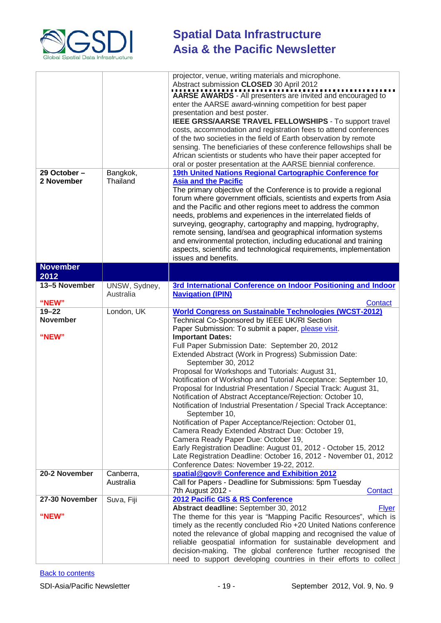

| 29 October-<br>2 November | Bangkok,<br>Thailand       | projector, venue, writing materials and microphone.<br>Abstract submission CLOSED 30 April 2012<br>AARSE AWARDS - All presenters are invited and encouraged to<br>enter the AARSE award-winning competition for best paper<br>presentation and best poster.<br>IEEE GRSS/AARSE TRAVEL FELLOWSHIPS - To support travel<br>costs, accommodation and registration fees to attend conferences<br>of the two societies in the field of Earth observation by remote<br>sensing. The beneficiaries of these conference fellowships shall be<br>African scientists or students who have their paper accepted for<br>oral or poster presentation at the AARSE biennial conference.<br>19th United Nations Regional Cartographic Conference for<br><b>Asia and the Pacific</b><br>The primary objective of the Conference is to provide a regional<br>forum where government officials, scientists and experts from Asia<br>and the Pacific and other regions meet to address the common<br>needs, problems and experiences in the interrelated fields of<br>surveying, geography, cartography and mapping, hydrography,<br>remote sensing, land/sea and geographical information systems<br>and environmental protection, including educational and training<br>aspects, scientific and technological requirements, implementation<br>issues and benefits. |  |
|---------------------------|----------------------------|---------------------------------------------------------------------------------------------------------------------------------------------------------------------------------------------------------------------------------------------------------------------------------------------------------------------------------------------------------------------------------------------------------------------------------------------------------------------------------------------------------------------------------------------------------------------------------------------------------------------------------------------------------------------------------------------------------------------------------------------------------------------------------------------------------------------------------------------------------------------------------------------------------------------------------------------------------------------------------------------------------------------------------------------------------------------------------------------------------------------------------------------------------------------------------------------------------------------------------------------------------------------------------------------------------------------------------------------------|--|
| <b>November</b>           |                            |                                                                                                                                                                                                                                                                                                                                                                                                                                                                                                                                                                                                                                                                                                                                                                                                                                                                                                                                                                                                                                                                                                                                                                                                                                                                                                                                                   |  |
| 2012                      |                            |                                                                                                                                                                                                                                                                                                                                                                                                                                                                                                                                                                                                                                                                                                                                                                                                                                                                                                                                                                                                                                                                                                                                                                                                                                                                                                                                                   |  |
| 13-5 November             | UNSW, Sydney,<br>Australia | 3rd International Conference on Indoor Positioning and Indoor<br><b>Navigation (IPIN)</b>                                                                                                                                                                                                                                                                                                                                                                                                                                                                                                                                                                                                                                                                                                                                                                                                                                                                                                                                                                                                                                                                                                                                                                                                                                                         |  |
| "NEW"<br>$19 - 22$        | London, UK                 | Contact<br><b>World Congress on Sustainable Technologies (WCST-2012)</b>                                                                                                                                                                                                                                                                                                                                                                                                                                                                                                                                                                                                                                                                                                                                                                                                                                                                                                                                                                                                                                                                                                                                                                                                                                                                          |  |
| <b>November</b>           |                            | Technical Co-Sponsored by IEEE UK/RI Section                                                                                                                                                                                                                                                                                                                                                                                                                                                                                                                                                                                                                                                                                                                                                                                                                                                                                                                                                                                                                                                                                                                                                                                                                                                                                                      |  |
|                           |                            | Paper Submission: To submit a paper, please visit.                                                                                                                                                                                                                                                                                                                                                                                                                                                                                                                                                                                                                                                                                                                                                                                                                                                                                                                                                                                                                                                                                                                                                                                                                                                                                                |  |
| "NEW"                     |                            | <b>Important Dates:</b>                                                                                                                                                                                                                                                                                                                                                                                                                                                                                                                                                                                                                                                                                                                                                                                                                                                                                                                                                                                                                                                                                                                                                                                                                                                                                                                           |  |
|                           |                            | Full Paper Submission Date: September 20, 2012                                                                                                                                                                                                                                                                                                                                                                                                                                                                                                                                                                                                                                                                                                                                                                                                                                                                                                                                                                                                                                                                                                                                                                                                                                                                                                    |  |
|                           |                            | Extended Abstract (Work in Progress) Submission Date:                                                                                                                                                                                                                                                                                                                                                                                                                                                                                                                                                                                                                                                                                                                                                                                                                                                                                                                                                                                                                                                                                                                                                                                                                                                                                             |  |
|                           |                            | September 30, 2012                                                                                                                                                                                                                                                                                                                                                                                                                                                                                                                                                                                                                                                                                                                                                                                                                                                                                                                                                                                                                                                                                                                                                                                                                                                                                                                                |  |
|                           |                            | Proposal for Workshops and Tutorials: August 31,<br>Notification of Workshop and Tutorial Acceptance: September 10,                                                                                                                                                                                                                                                                                                                                                                                                                                                                                                                                                                                                                                                                                                                                                                                                                                                                                                                                                                                                                                                                                                                                                                                                                               |  |
|                           |                            | Proposal for Industrial Presentation / Special Track: August 31,                                                                                                                                                                                                                                                                                                                                                                                                                                                                                                                                                                                                                                                                                                                                                                                                                                                                                                                                                                                                                                                                                                                                                                                                                                                                                  |  |
|                           |                            | Notification of Abstract Acceptance/Rejection: October 10,                                                                                                                                                                                                                                                                                                                                                                                                                                                                                                                                                                                                                                                                                                                                                                                                                                                                                                                                                                                                                                                                                                                                                                                                                                                                                        |  |
|                           |                            | Notification of Industrial Presentation / Special Track Acceptance:                                                                                                                                                                                                                                                                                                                                                                                                                                                                                                                                                                                                                                                                                                                                                                                                                                                                                                                                                                                                                                                                                                                                                                                                                                                                               |  |
|                           |                            | September 10,                                                                                                                                                                                                                                                                                                                                                                                                                                                                                                                                                                                                                                                                                                                                                                                                                                                                                                                                                                                                                                                                                                                                                                                                                                                                                                                                     |  |
|                           |                            | Notification of Paper Acceptance/Rejection: October 01,                                                                                                                                                                                                                                                                                                                                                                                                                                                                                                                                                                                                                                                                                                                                                                                                                                                                                                                                                                                                                                                                                                                                                                                                                                                                                           |  |
|                           |                            | Camera Ready Extended Abstract Due: October 19,                                                                                                                                                                                                                                                                                                                                                                                                                                                                                                                                                                                                                                                                                                                                                                                                                                                                                                                                                                                                                                                                                                                                                                                                                                                                                                   |  |
|                           |                            | Camera Ready Paper Due: October 19,<br>Early Registration Deadline: August 01, 2012 - October 15, 2012                                                                                                                                                                                                                                                                                                                                                                                                                                                                                                                                                                                                                                                                                                                                                                                                                                                                                                                                                                                                                                                                                                                                                                                                                                            |  |
|                           |                            | Late Registration Deadline: October 16, 2012 - November 01, 2012                                                                                                                                                                                                                                                                                                                                                                                                                                                                                                                                                                                                                                                                                                                                                                                                                                                                                                                                                                                                                                                                                                                                                                                                                                                                                  |  |
|                           |                            | Conference Dates: November 19-22, 2012.                                                                                                                                                                                                                                                                                                                                                                                                                                                                                                                                                                                                                                                                                                                                                                                                                                                                                                                                                                                                                                                                                                                                                                                                                                                                                                           |  |
| 20-2 November             | Canberra,                  | spatial@gov® Conference and Exhibition 2012                                                                                                                                                                                                                                                                                                                                                                                                                                                                                                                                                                                                                                                                                                                                                                                                                                                                                                                                                                                                                                                                                                                                                                                                                                                                                                       |  |
|                           | Australia                  | Call for Papers - Deadline for Submissions: 5pm Tuesday                                                                                                                                                                                                                                                                                                                                                                                                                                                                                                                                                                                                                                                                                                                                                                                                                                                                                                                                                                                                                                                                                                                                                                                                                                                                                           |  |
| 27-30 November            | Suva, Fiji                 | 7th August 2012 -<br>Contact<br>2012 Pacific GIS & RS Conference                                                                                                                                                                                                                                                                                                                                                                                                                                                                                                                                                                                                                                                                                                                                                                                                                                                                                                                                                                                                                                                                                                                                                                                                                                                                                  |  |
|                           |                            | Abstract deadline: September 30, 2012<br><b>Flyer</b>                                                                                                                                                                                                                                                                                                                                                                                                                                                                                                                                                                                                                                                                                                                                                                                                                                                                                                                                                                                                                                                                                                                                                                                                                                                                                             |  |
| "NEW"                     |                            | The theme for this year is "Mapping Pacific Resources", which is                                                                                                                                                                                                                                                                                                                                                                                                                                                                                                                                                                                                                                                                                                                                                                                                                                                                                                                                                                                                                                                                                                                                                                                                                                                                                  |  |
|                           |                            | timely as the recently concluded Rio +20 United Nations conference                                                                                                                                                                                                                                                                                                                                                                                                                                                                                                                                                                                                                                                                                                                                                                                                                                                                                                                                                                                                                                                                                                                                                                                                                                                                                |  |
|                           |                            | noted the relevance of global mapping and recognised the value of                                                                                                                                                                                                                                                                                                                                                                                                                                                                                                                                                                                                                                                                                                                                                                                                                                                                                                                                                                                                                                                                                                                                                                                                                                                                                 |  |
|                           |                            | reliable geospatial information for sustainable development and                                                                                                                                                                                                                                                                                                                                                                                                                                                                                                                                                                                                                                                                                                                                                                                                                                                                                                                                                                                                                                                                                                                                                                                                                                                                                   |  |
|                           |                            | decision-making. The global conference further recognised the<br>need to support developing countries in their efforts to collect                                                                                                                                                                                                                                                                                                                                                                                                                                                                                                                                                                                                                                                                                                                                                                                                                                                                                                                                                                                                                                                                                                                                                                                                                 |  |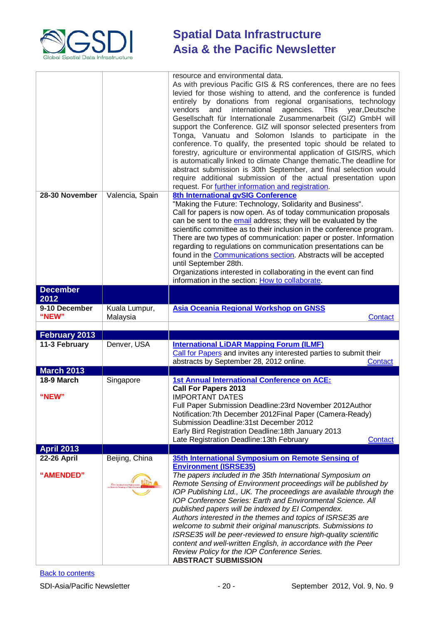

| 28-30 November                  | Valencia, Spain                                                        | resource and environmental data.<br>As with previous Pacific GIS & RS conferences, there are no fees<br>levied for those wishing to attend, and the conference is funded<br>entirely by donations from regional organisations, technology<br>agencies. This year, Deutsche<br>vendors<br>international<br>and<br>Gesellschaft für Internationale Zusammenarbeit (GIZ) GmbH will<br>support the Conference. GIZ will sponsor selected presenters from<br>Tonga, Vanuatu and Solomon Islands to participate in the<br>conference. To qualify, the presented topic should be related to<br>forestry, agriculture or environmental application of GIS/RS, which<br>is automatically linked to climate Change thematic. The deadline for<br>abstract submission is 30th September, and final selection would<br>require additional submission of the actual presentation upon<br>request. For further information and registration.<br>8th International gvSIG Conference |  |
|---------------------------------|------------------------------------------------------------------------|----------------------------------------------------------------------------------------------------------------------------------------------------------------------------------------------------------------------------------------------------------------------------------------------------------------------------------------------------------------------------------------------------------------------------------------------------------------------------------------------------------------------------------------------------------------------------------------------------------------------------------------------------------------------------------------------------------------------------------------------------------------------------------------------------------------------------------------------------------------------------------------------------------------------------------------------------------------------|--|
|                                 |                                                                        | "Making the Future: Technology, Solidarity and Business".<br>Call for papers is now open. As of today communication proposals<br>can be sent to the email address; they will be evaluated by the<br>scientific committee as to their inclusion in the conference program.<br>There are two types of communication: paper or poster. Information<br>regarding to regulations on communication presentations can be<br>found in the Communications section. Abstracts will be accepted<br>until September 28th.<br>Organizations interested in collaborating in the event can find<br>information in the section: How to collaborate.                                                                                                                                                                                                                                                                                                                                  |  |
| <b>December</b>                 |                                                                        |                                                                                                                                                                                                                                                                                                                                                                                                                                                                                                                                                                                                                                                                                                                                                                                                                                                                                                                                                                      |  |
| 2012                            |                                                                        |                                                                                                                                                                                                                                                                                                                                                                                                                                                                                                                                                                                                                                                                                                                                                                                                                                                                                                                                                                      |  |
| 9-10 December<br>"NEW"          | Kuala Lumpur,<br>Malaysia                                              | Asia Oceania Regional Workshop on GNSS<br><b>Contact</b>                                                                                                                                                                                                                                                                                                                                                                                                                                                                                                                                                                                                                                                                                                                                                                                                                                                                                                             |  |
| <b>February 2013</b>            |                                                                        |                                                                                                                                                                                                                                                                                                                                                                                                                                                                                                                                                                                                                                                                                                                                                                                                                                                                                                                                                                      |  |
| 11-3 February                   | Denver, USA                                                            | <b>International LiDAR Mapping Forum (ILMF)</b><br>Call for Papers and invites any interested parties to submit their<br>abstracts by September 28, 2012 online.<br><b>Contact</b>                                                                                                                                                                                                                                                                                                                                                                                                                                                                                                                                                                                                                                                                                                                                                                                   |  |
| <b>March 2013</b>               |                                                                        |                                                                                                                                                                                                                                                                                                                                                                                                                                                                                                                                                                                                                                                                                                                                                                                                                                                                                                                                                                      |  |
| 18-9 March<br>"NEW"             | Singapore                                                              | <b>1st Annual International Conference on ACE:</b><br><b>Call For Papers 2013</b><br><b>IMPORTANT DATES</b><br>Full Paper Submission Deadline: 23rd November 2012Author<br>Notification: 7th December 2012 Final Paper (Camera-Ready)<br>Submission Deadline: 31st December 2012<br>Early Bird Registration Deadline: 18th January 2013<br>Late Registration Deadline: 13th February<br>Contact                                                                                                                                                                                                                                                                                                                                                                                                                                                                                                                                                                      |  |
| <b>April 2013</b>               |                                                                        |                                                                                                                                                                                                                                                                                                                                                                                                                                                                                                                                                                                                                                                                                                                                                                                                                                                                                                                                                                      |  |
| <b>22-26 April</b><br>"AMENDED" | Beijing, China<br>35th International Sym<br>on Remote Sensing of Envir | 35th International Symposium on Remote Sensing of<br><b>Environment (ISRSE35)</b><br>The papers included in the 35th International Symposium on<br>Remote Sensing of Environment proceedings will be published by<br>IOP Publishing Ltd., UK. The proceedings are available through the<br><b>IOP Conference Series: Earth and Environmental Science. All</b><br>published papers will be indexed by El Compendex.<br>Authors interested in the themes and topics of ISRSE35 are<br>welcome to submit their original manuscripts. Submissions to<br>ISRSE35 will be peer-reviewed to ensure high-quality scientific<br>content and well-written English, in accordance with the Peer<br>Review Policy for the IOP Conference Series.<br><b>ABSTRACT SUBMISSION</b>                                                                                                                                                                                                   |  |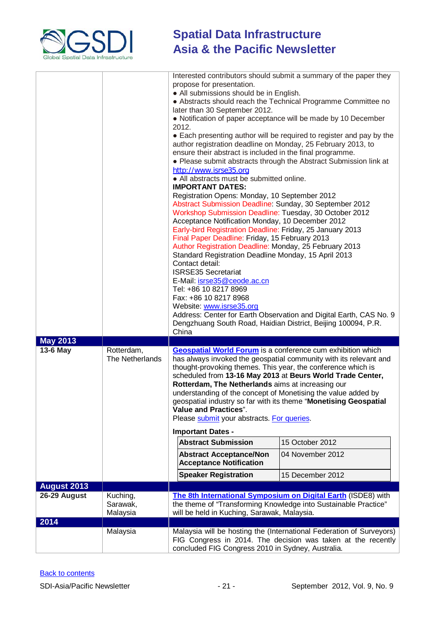

|                                    |                               | Interested contributors should submit a summary of the paper they<br>propose for presentation.<br>• All submissions should be in English.<br>• Abstracts should reach the Technical Programme Committee no<br>later than 30 September 2012.<br>• Notification of paper acceptance will be made by 10 December<br>2012.<br>• Each presenting author will be required to register and pay by the<br>author registration deadline on Monday, 25 February 2013, to<br>ensure their abstract is included in the final programme.<br>• Please submit abstracts through the Abstract Submission link at<br>http://www.isrse35.org<br>• All abstracts must be submitted online.<br><b>IMPORTANT DATES:</b><br>Registration Opens: Monday, 10 September 2012<br>Abstract Submission Deadline: Sunday, 30 September 2012<br>Workshop Submission Deadline: Tuesday, 30 October 2012<br>Acceptance Notification Monday, 10 December 2012<br>Early-bird Registration Deadline: Friday, 25 January 2013<br>Final Paper Deadline: Friday, 15 February 2013<br>Author Registration Deadline: Monday, 25 February 2013<br>Standard Registration Deadline Monday, 15 April 2013<br>Contact detail:<br><b>ISRSE35 Secretariat</b><br>E-Mail: isrse35@ceode.ac.cn<br>Tel: +86 10 8217 8969<br>Fax: +86 10 8217 8968<br>Website: www.isrse35.org<br>Address: Center for Earth Observation and Digital Earth, CAS No. 9<br>Dengzhuang South Road, Haidian District, Beijing 100094, P.R. |                  |  |
|------------------------------------|-------------------------------|--------------------------------------------------------------------------------------------------------------------------------------------------------------------------------------------------------------------------------------------------------------------------------------------------------------------------------------------------------------------------------------------------------------------------------------------------------------------------------------------------------------------------------------------------------------------------------------------------------------------------------------------------------------------------------------------------------------------------------------------------------------------------------------------------------------------------------------------------------------------------------------------------------------------------------------------------------------------------------------------------------------------------------------------------------------------------------------------------------------------------------------------------------------------------------------------------------------------------------------------------------------------------------------------------------------------------------------------------------------------------------------------------------------------------------------------------------------------|------------------|--|
| <b>May 2013</b>                    |                               |                                                                                                                                                                                                                                                                                                                                                                                                                                                                                                                                                                                                                                                                                                                                                                                                                                                                                                                                                                                                                                                                                                                                                                                                                                                                                                                                                                                                                                                                    |                  |  |
| 13-6 May                           | Rotterdam,<br>The Netherlands | <b>Geospatial World Forum</b> is a conference cum exhibition which<br>has always invoked the geospatial community with its relevant and<br>thought-provoking themes. This year, the conference which is<br>scheduled from 13-16 May 2013 at Beurs World Trade Center,<br>Rotterdam, The Netherlands aims at increasing our<br>understanding of the concept of Monetising the value added by<br>geospatial industry so far with its theme "Monetising Geospatial<br>Value and Practices".<br>Please submit your abstracts. For queries.<br><b>Important Dates -</b><br><b>Abstract Submission</b><br>15 October 2012<br><b>Abstract Acceptance/Non</b><br>04 November 2012<br><b>Acceptance Notification</b>                                                                                                                                                                                                                                                                                                                                                                                                                                                                                                                                                                                                                                                                                                                                                        |                  |  |
|                                    |                               | <b>Speaker Registration</b>                                                                                                                                                                                                                                                                                                                                                                                                                                                                                                                                                                                                                                                                                                                                                                                                                                                                                                                                                                                                                                                                                                                                                                                                                                                                                                                                                                                                                                        | 15 December 2012 |  |
| <b>August 2013</b><br>26-29 August | Kuching,                      |                                                                                                                                                                                                                                                                                                                                                                                                                                                                                                                                                                                                                                                                                                                                                                                                                                                                                                                                                                                                                                                                                                                                                                                                                                                                                                                                                                                                                                                                    |                  |  |
| 2014                               | Sarawak,<br>Malaysia          | The 8th International Symposium on Digital Earth (ISDE8) with<br>the theme of "Transforming Knowledge into Sustainable Practice"<br>will be held in Kuching, Sarawak, Malaysia.                                                                                                                                                                                                                                                                                                                                                                                                                                                                                                                                                                                                                                                                                                                                                                                                                                                                                                                                                                                                                                                                                                                                                                                                                                                                                    |                  |  |
|                                    | Malaysia                      | Malaysia will be hosting the (International Federation of Surveyors)                                                                                                                                                                                                                                                                                                                                                                                                                                                                                                                                                                                                                                                                                                                                                                                                                                                                                                                                                                                                                                                                                                                                                                                                                                                                                                                                                                                               |                  |  |
|                                    |                               | FIG Congress in 2014. The decision was taken at the recently<br>concluded FIG Congress 2010 in Sydney, Australia.                                                                                                                                                                                                                                                                                                                                                                                                                                                                                                                                                                                                                                                                                                                                                                                                                                                                                                                                                                                                                                                                                                                                                                                                                                                                                                                                                  |                  |  |